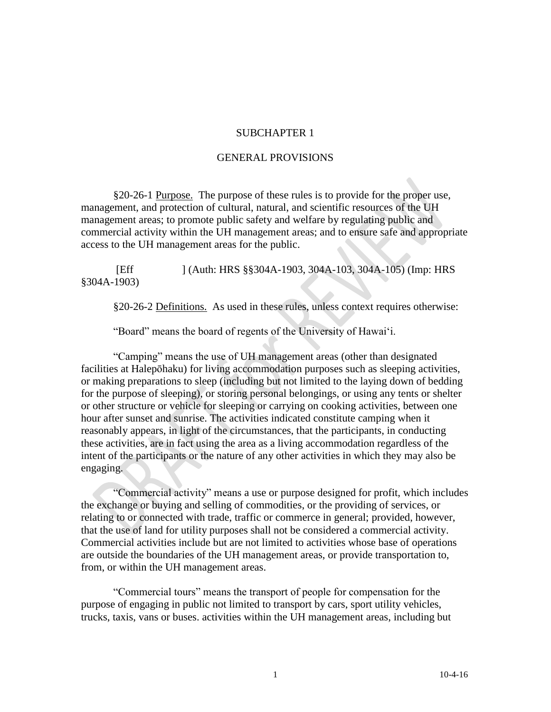#### SUBCHAPTER 1

### GENERAL PROVISIONS

§20-26-1 Purpose. The purpose of these rules is to provide for the proper use, management, and protection of cultural, natural, and scientific resources of the UH management areas; to promote public safety and welfare by regulating public and commercial activity within the UH management areas; and to ensure safe and appropriate access to the UH management areas for the public.

[Eff ] (Auth: HRS §§304A-1903, 304A-103, 304A-105) (Imp: HRS §304A-1903)

§20-26-2 Definitions. As used in these rules, unless context requires otherwise:

"Board" means the board of regents of the University of Hawai'i.

"Camping" means the use of UH management areas (other than designated facilities at Halepōhaku) for living accommodation purposes such as sleeping activities, or making preparations to sleep (including but not limited to the laying down of bedding for the purpose of sleeping), or storing personal belongings, or using any tents or shelter or other structure or vehicle for sleeping or carrying on cooking activities, between one hour after sunset and sunrise. The activities indicated constitute camping when it reasonably appears, in light of the circumstances, that the participants, in conducting these activities, are in fact using the area as a living accommodation regardless of the intent of the participants or the nature of any other activities in which they may also be engaging.

"Commercial activity" means a use or purpose designed for profit, which includes the exchange or buying and selling of commodities, or the providing of services, or relating to or connected with trade, traffic or commerce in general; provided, however, that the use of land for utility purposes shall not be considered a commercial activity. Commercial activities include but are not limited to activities whose base of operations are outside the boundaries of the UH management areas, or provide transportation to, from, or within the UH management areas.

"Commercial tours" means the transport of people for compensation for the purpose of engaging in public not limited to transport by cars, sport utility vehicles, trucks, taxis, vans or buses. activities within the UH management areas, including but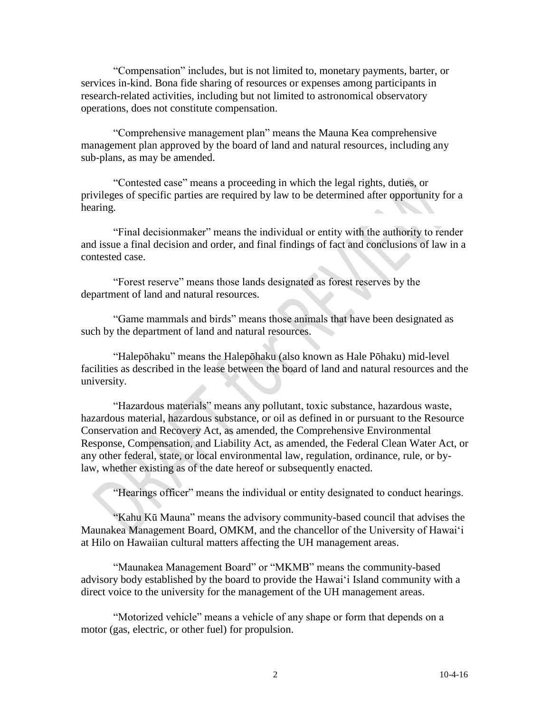"Compensation" includes, but is not limited to, monetary payments, barter, or services in-kind. Bona fide sharing of resources or expenses among participants in research-related activities, including but not limited to astronomical observatory operations, does not constitute compensation.

"Comprehensive management plan" means the Mauna Kea comprehensive management plan approved by the board of land and natural resources, including any sub-plans, as may be amended.

"Contested case" means a proceeding in which the legal rights, duties, or privileges of specific parties are required by law to be determined after opportunity for a hearing.  $\Delta \omega$ 

"Final decisionmaker" means the individual or entity with the authority to render and issue a final decision and order, and final findings of fact and conclusions of law in a contested case.

"Forest reserve" means those lands designated as forest reserves by the department of land and natural resources.

"Game mammals and birds" means those animals that have been designated as such by the department of land and natural resources.

"Halepōhaku" means the Halepōhaku (also known as Hale Pōhaku) mid-level facilities as described in the lease between the board of land and natural resources and the university.

"Hazardous materials" means any pollutant, toxic substance, hazardous waste, hazardous material, hazardous substance, or oil as defined in or pursuant to the Resource Conservation and Recovery Act, as amended, the Comprehensive Environmental Response, Compensation, and Liability Act, as amended, the Federal Clean Water Act, or any other federal, state, or local environmental law, regulation, ordinance, rule, or bylaw, whether existing as of the date hereof or subsequently enacted.

"Hearings officer" means the individual or entity designated to conduct hearings.

"Kahu Kū Mauna" means the advisory community-based council that advises the Maunakea Management Board, OMKM, and the chancellor of the University of Hawai'i at Hilo on Hawaiian cultural matters affecting the UH management areas.

"Maunakea Management Board" or "MKMB" means the community-based advisory body established by the board to provide the Hawai'i Island community with a direct voice to the university for the management of the UH management areas.

"Motorized vehicle" means a vehicle of any shape or form that depends on a motor (gas, electric, or other fuel) for propulsion.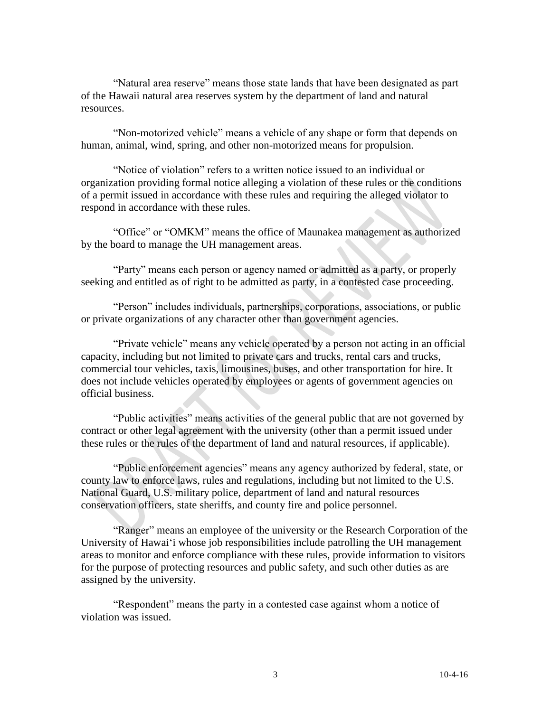"Natural area reserve" means those state lands that have been designated as part of the Hawaii natural area reserves system by the department of land and natural resources.

"Non-motorized vehicle" means a vehicle of any shape or form that depends on human, animal, wind, spring, and other non-motorized means for propulsion.

"Notice of violation" refers to a written notice issued to an individual or organization providing formal notice alleging a violation of these rules or the conditions of a permit issued in accordance with these rules and requiring the alleged violator to respond in accordance with these rules.

"Office" or "OMKM" means the office of Maunakea management as authorized by the board to manage the UH management areas.

"Party" means each person or agency named or admitted as a party, or properly seeking and entitled as of right to be admitted as party, in a contested case proceeding.

"Person" includes individuals, partnerships, corporations, associations, or public or private organizations of any character other than government agencies.

"Private vehicle" means any vehicle operated by a person not acting in an official capacity, including but not limited to private cars and trucks, rental cars and trucks, commercial tour vehicles, taxis, limousines, buses, and other transportation for hire. It does not include vehicles operated by employees or agents of government agencies on official business.

"Public activities" means activities of the general public that are not governed by contract or other legal agreement with the university (other than a permit issued under these rules or the rules of the department of land and natural resources, if applicable).

"Public enforcement agencies" means any agency authorized by federal, state, or county law to enforce laws, rules and regulations, including but not limited to the U.S. National Guard, U.S. military police, department of land and natural resources conservation officers, state sheriffs, and county fire and police personnel.

"Ranger" means an employee of the university or the Research Corporation of the University of Hawai'i whose job responsibilities include patrolling the UH management areas to monitor and enforce compliance with these rules, provide information to visitors for the purpose of protecting resources and public safety, and such other duties as are assigned by the university.

"Respondent" means the party in a contested case against whom a notice of violation was issued.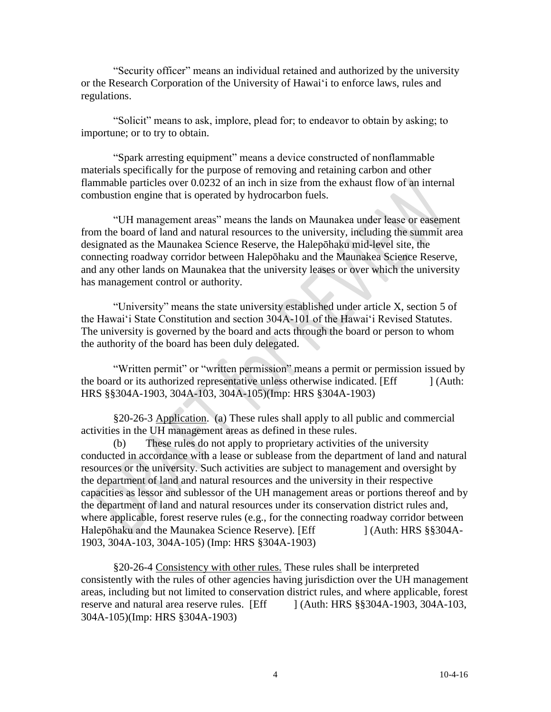"Security officer" means an individual retained and authorized by the university or the Research Corporation of the University of Hawai'i to enforce laws, rules and regulations.

"Solicit" means to ask, implore, plead for; to endeavor to obtain by asking; to importune; or to try to obtain.

"Spark arresting equipment" means a device constructed of nonflammable materials specifically for the purpose of removing and retaining carbon and other flammable particles over 0.0232 of an inch in size from the exhaust flow of an internal combustion engine that is operated by hydrocarbon fuels.

"UH management areas" means the lands on Maunakea under lease or easement from the board of land and natural resources to the university, including the summit area designated as the Maunakea Science Reserve, the Halepōhaku mid-level site, the connecting roadway corridor between Halepōhaku and the Maunakea Science Reserve, and any other lands on Maunakea that the university leases or over which the university has management control or authority.

"University" means the state university established under article X, section 5 of the Hawai'i State Constitution and section 304A-101 of the Hawai'i Revised Statutes. The university is governed by the board and acts through the board or person to whom the authority of the board has been duly delegated.

"Written permit" or "written permission" means a permit or permission issued by the board or its authorized representative unless otherwise indicated. [Eff ] (Auth: HRS §§304A-1903, 304A-103, 304A-105)(Imp: HRS §304A-1903)

§20-26-3 Application. (a) These rules shall apply to all public and commercial activities in the UH management areas as defined in these rules.

(b) These rules do not apply to proprietary activities of the university conducted in accordance with a lease or sublease from the department of land and natural resources or the university. Such activities are subject to management and oversight by the department of land and natural resources and the university in their respective capacities as lessor and sublessor of the UH management areas or portions thereof and by the department of land and natural resources under its conservation district rules and, where applicable, forest reserve rules (e.g., for the connecting roadway corridor between Halepōhaku and the Maunakea Science Reserve). [Eff ] (Auth: HRS §§304A-1903, 304A-103, 304A-105) (Imp: HRS §304A-1903)

§20-26-4 Consistency with other rules. These rules shall be interpreted consistently with the rules of other agencies having jurisdiction over the UH management areas, including but not limited to conservation district rules, and where applicable, forest reserve and natural area reserve rules. [Eff ] (Auth: HRS §§304A-1903, 304A-103, 304A-105)(Imp: HRS §304A-1903)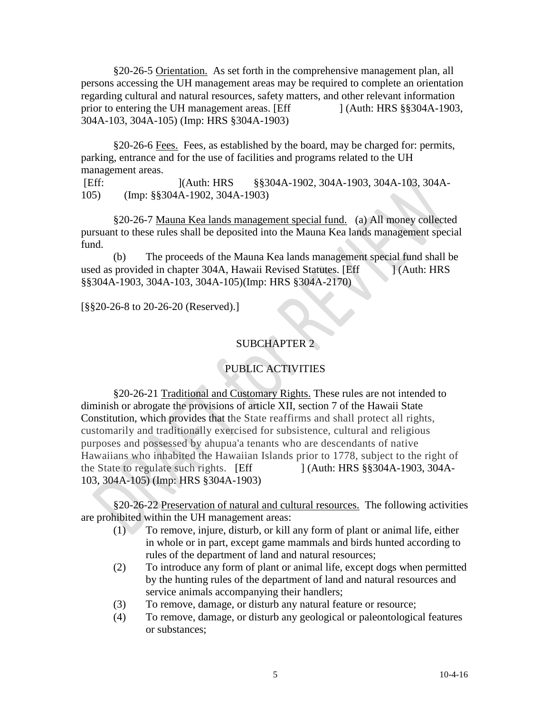§20-26-5 Orientation. As set forth in the comprehensive management plan, all persons accessing the UH management areas may be required to complete an orientation regarding cultural and natural resources, safety matters, and other relevant information prior to entering the UH management areas. [Eff ] (Auth: HRS §§304A-1903, 304A-103, 304A-105) (Imp: HRS §304A-1903)

§20-26-6 Fees. Fees, as established by the board, may be charged for: permits, parking, entrance and for the use of facilities and programs related to the UH management areas.

[Eff: ](Auth: HRS §§304A-1902, 304A-1903, 304A-103, 304A-105) (Imp: §§304A-1902, 304A-1903)

§20-26-7 Mauna Kea lands management special fund. (a) All money collected pursuant to these rules shall be deposited into the Mauna Kea lands management special fund.

(b) The proceeds of the Mauna Kea lands management special fund shall be used as provided in chapter 304A, Hawaii Revised Statutes. [Eff ] (Auth: HRS §§304A-1903, 304A-103, 304A-105)(Imp: HRS §304A-2170)

[§§20-26-8 to 20-26-20 (Reserved).]

# SUBCHAPTER 2

# PUBLIC ACTIVITIES

§20-26-21 Traditional and Customary Rights. These rules are not intended to diminish or abrogate the provisions of article XII, section 7 of the Hawaii State Constitution, which provides that the State reaffirms and shall protect all rights, customarily and traditionally exercised for subsistence, cultural and religious purposes and possessed by ahupua'a tenants who are descendants of native Hawaiians who inhabited the Hawaiian Islands prior to 1778, subject to the right of the State to regulate such rights. [Eff ] (Auth: HRS §§304A-1903, 304A-103, 304A-105) (Imp: HRS §304A-1903)

§20-26-22 Preservation of natural and cultural resources. The following activities are prohibited within the UH management areas:

- (1) To remove, injure, disturb, or kill any form of plant or animal life, either in whole or in part, except game mammals and birds hunted according to rules of the department of land and natural resources;
- (2) To introduce any form of plant or animal life, except dogs when permitted by the hunting rules of the department of land and natural resources and service animals accompanying their handlers;
- (3) To remove, damage, or disturb any natural feature or resource;
- (4) To remove, damage, or disturb any geological or paleontological features or substances;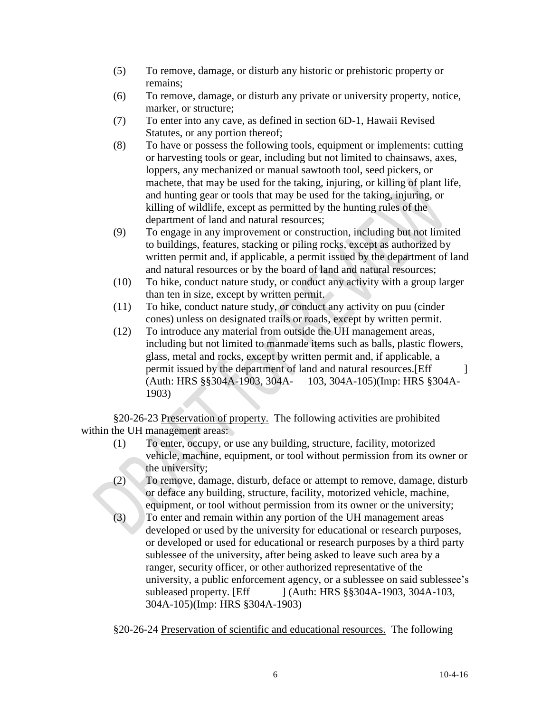- (5) To remove, damage, or disturb any historic or prehistoric property or remains;
- (6) To remove, damage, or disturb any private or university property, notice, marker, or structure;
- (7) To enter into any cave, as defined in section 6D-1, Hawaii Revised Statutes, or any portion thereof;
- (8) To have or possess the following tools, equipment or implements: cutting or harvesting tools or gear, including but not limited to chainsaws, axes, loppers, any mechanized or manual sawtooth tool, seed pickers, or machete, that may be used for the taking, injuring, or killing of plant life, and hunting gear or tools that may be used for the taking, injuring, or killing of wildlife, except as permitted by the hunting rules of the department of land and natural resources;
- (9) To engage in any improvement or construction, including but not limited to buildings, features, stacking or piling rocks, except as authorized by written permit and, if applicable, a permit issued by the department of land and natural resources or by the board of land and natural resources;
- (10) To hike, conduct nature study, or conduct any activity with a group larger than ten in size, except by written permit.
- (11) To hike, conduct nature study, or conduct any activity on puu (cinder cones) unless on designated trails or roads, except by written permit.
- (12) To introduce any material from outside the UH management areas, including but not limited to manmade items such as balls, plastic flowers, glass, metal and rocks, except by written permit and, if applicable, a permit issued by the department of land and natural resources. [Eff ] (Auth: HRS §§304A-1903, 304A- 103, 304A-105)(Imp: HRS §304A-1903)

§20-26-23 Preservation of property. The following activities are prohibited within the UH management areas:

- (1) To enter, occupy, or use any building, structure, facility, motorized vehicle, machine, equipment, or tool without permission from its owner or the university;
- (2) To remove, damage, disturb, deface or attempt to remove, damage, disturb or deface any building, structure, facility, motorized vehicle, machine, equipment, or tool without permission from its owner or the university;
- (3) To enter and remain within any portion of the UH management areas developed or used by the university for educational or research purposes, or developed or used for educational or research purposes by a third party sublessee of the university, after being asked to leave such area by a ranger, security officer, or other authorized representative of the university, a public enforcement agency, or a sublessee on said sublessee's subleased property. [Eff ] (Auth: HRS §§304A-1903, 304A-103, 304A-105)(Imp: HRS §304A-1903)

§20-26-24 Preservation of scientific and educational resources. The following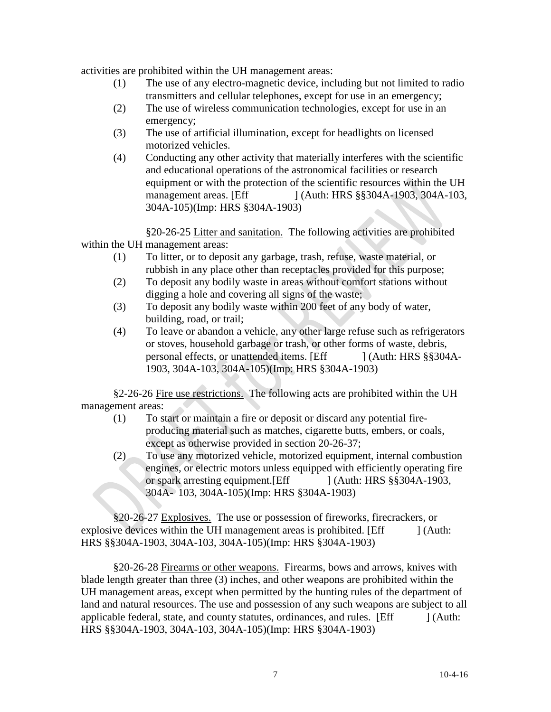activities are prohibited within the UH management areas:

- (1) The use of any electro-magnetic device, including but not limited to radio transmitters and cellular telephones, except for use in an emergency;
- (2) The use of wireless communication technologies, except for use in an emergency;
- (3) The use of artificial illumination, except for headlights on licensed motorized vehicles.
- (4) Conducting any other activity that materially interferes with the scientific and educational operations of the astronomical facilities or research equipment or with the protection of the scientific resources within the UH management areas. [Eff ] (Auth: HRS §§304A-1903, 304A-103, 304A-105)(Imp: HRS §304A-1903)

§20-26-25 Litter and sanitation. The following activities are prohibited within the UH management areas:

- (1) To litter, or to deposit any garbage, trash, refuse, waste material, or rubbish in any place other than receptacles provided for this purpose;
- (2) To deposit any bodily waste in areas without comfort stations without digging a hole and covering all signs of the waste;
- (3) To deposit any bodily waste within 200 feet of any body of water, building, road, or trail;
- (4) To leave or abandon a vehicle, any other large refuse such as refrigerators or stoves, household garbage or trash, or other forms of waste, debris, personal effects, or unattended items. [Eff ] (Auth: HRS §§304A-1903, 304A-103, 304A-105)(Imp: HRS §304A-1903)

§2-26-26 Fire use restrictions. The following acts are prohibited within the UH management areas:

- (1) To start or maintain a fire or deposit or discard any potential fireproducing material such as matches, cigarette butts, embers, or coals, except as otherwise provided in section 20-26-37;
- (2) To use any motorized vehicle, motorized equipment, internal combustion engines, or electric motors unless equipped with efficiently operating fire or spark arresting equipment. [Eff ] (Auth: HRS §§304A-1903, 304A- 103, 304A-105)(Imp: HRS §304A-1903)

§20-26-27 Explosives. The use or possession of fireworks, firecrackers, or explosive devices within the UH management areas is prohibited. [Eff ] (Auth: HRS §§304A-1903, 304A-103, 304A-105)(Imp: HRS §304A-1903)

§20-26-28 Firearms or other weapons. Firearms, bows and arrows, knives with blade length greater than three (3) inches, and other weapons are prohibited within the UH management areas, except when permitted by the hunting rules of the department of land and natural resources. The use and possession of any such weapons are subject to all applicable federal, state, and county statutes, ordinances, and rules. [Eff ] (Auth: HRS §§304A-1903, 304A-103, 304A-105)(Imp: HRS §304A-1903)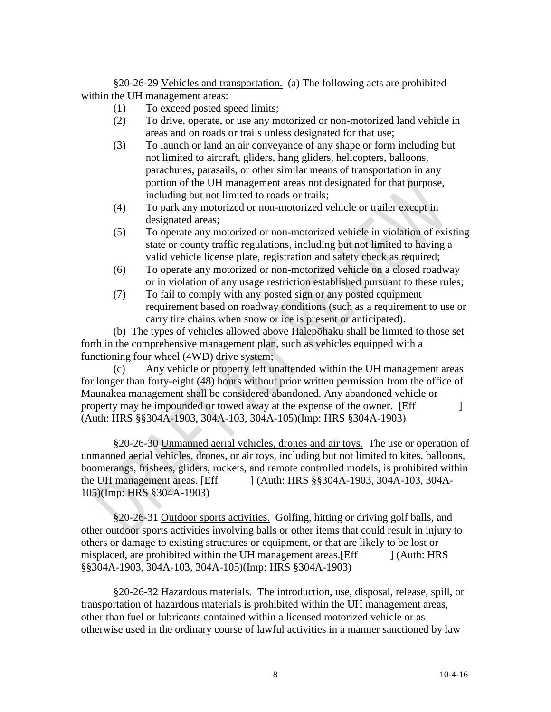§20-26-29 Vehicles and transportation. (a) The following acts are prohibited within the UH management areas:

- (1) To exceed posted speed limits;
- (2) To drive, operate, or use any motorized or non-motorized land vehicle in areas and on roads or trails unless designated for that use;
- (3) To launch or land an air conveyance of any shape or form including but not limited to aircraft, gliders, hang gliders, helicopters, balloons, parachutes, parasails, or other similar means of transportation in any portion of the UH management areas not designated for that purpose, including but not limited to roads or trails;
- (4) To park any motorized or non-motorized vehicle or trailer except in designated areas;
- (5) To operate any motorized or non-motorized vehicle in violation of existing state or county traffic regulations, including but not limited to having a valid vehicle license plate, registration and safety check as required;
- (6) To operate any motorized or non-motorized vehicle on a closed roadway or in violation of any usage restriction established pursuant to these rules;
- (7) To fail to comply with any posted sign or any posted equipment requirement based on roadway conditions (such as a requirement to use or carry tire chains when snow or ice is present or anticipated).

(b) The types of vehicles allowed above Halepōhaku shall be limited to those set forth in the comprehensive management plan, such as vehicles equipped with a functioning four wheel (4WD) drive system;

(c) Any vehicle or property left unattended within the UH management areas for longer than forty-eight (48) hours without prior written permission from the office of Maunakea management shall be considered abandoned. Any abandoned vehicle or property may be impounded or towed away at the expense of the owner. [Eff ] (Auth: HRS §§304A-1903, 304A-103, 304A-105)(Imp: HRS §304A-1903)

§20-26-30 Unmanned aerial vehicles, drones and air toys. The use or operation of unmanned aerial vehicles, drones, or air toys, including but not limited to kites, balloons, boomerangs, frisbees, gliders, rockets, and remote controlled models, is prohibited within the UH management areas. [Eff ] (Auth: HRS §§304A-1903, 304A-103, 304A-105)(Imp: HRS §304A-1903)

§20-26-31 Outdoor sports activities. Golfing, hitting or driving golf balls, and other outdoor sports activities involving balls or other items that could result in injury to others or damage to existing structures or equipment, or that are likely to be lost or misplaced, are prohibited within the UH management areas. [Eff ] (Auth: HRS §§304A-1903, 304A-103, 304A-105)(Imp: HRS §304A-1903)

§20-26-32 Hazardous materials. The introduction, use, disposal, release, spill, or transportation of hazardous materials is prohibited within the UH management areas, other than fuel or lubricants contained within a licensed motorized vehicle or as otherwise used in the ordinary course of lawful activities in a manner sanctioned by law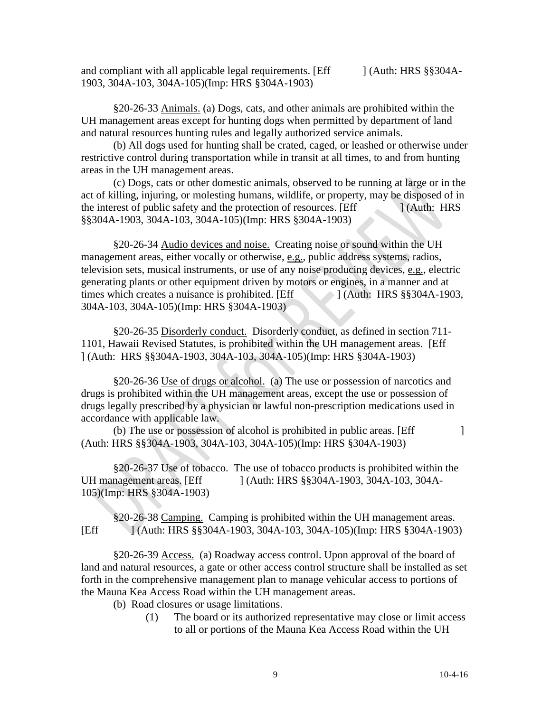and compliant with all applicable legal requirements. [Eff ] (Auth: HRS §§304A-1903, 304A-103, 304A-105)(Imp: HRS §304A-1903)

§20-26-33 Animals. (a) Dogs, cats, and other animals are prohibited within the UH management areas except for hunting dogs when permitted by department of land and natural resources hunting rules and legally authorized service animals.

(b) All dogs used for hunting shall be crated, caged, or leashed or otherwise under restrictive control during transportation while in transit at all times, to and from hunting areas in the UH management areas.

(c) Dogs, cats or other domestic animals, observed to be running at large or in the act of killing, injuring, or molesting humans, wildlife, or property, may be disposed of in the interest of public safety and the protection of resources. [Eff  $\qquad$  ] (Auth: HRS §§304A-1903, 304A-103, 304A-105)(Imp: HRS §304A-1903)

§20-26-34 Audio devices and noise. Creating noise or sound within the UH management areas, either vocally or otherwise, e.g., public address systems, radios, television sets, musical instruments, or use of any noise producing devices, e.g., electric generating plants or other equipment driven by motors or engines, in a manner and at times which creates a nuisance is prohibited. [Eff ] (Auth: HRS §§304A-1903, 304A-103, 304A-105)(Imp: HRS §304A-1903)

§20-26-35 Disorderly conduct. Disorderly conduct, as defined in section 711- 1101, Hawaii Revised Statutes, is prohibited within the UH management areas. [Eff ] (Auth: HRS §§304A-1903, 304A-103, 304A-105)(Imp: HRS §304A-1903)

§20-26-36 Use of drugs or alcohol. (a) The use or possession of narcotics and drugs is prohibited within the UH management areas, except the use or possession of drugs legally prescribed by a physician or lawful non-prescription medications used in accordance with applicable law.

 $(b)$  The use or possession of alcohol is prohibited in public areas. [Eff  $\qquad$  ] (Auth: HRS §§304A-1903, 304A-103, 304A-105)(Imp: HRS §304A-1903)

§20-26-37 Use of tobacco. The use of tobacco products is prohibited within the UH management areas. [Eff ] (Auth: HRS §§304A-1903, 304A-103, 304A-105)(Imp: HRS §304A-1903)

§20-26-38 Camping. Camping is prohibited within the UH management areas. [Eff ] (Auth: HRS §§304A-1903, 304A-103, 304A-105)(Imp: HRS §304A-1903)

§20-26-39 Access. (a) Roadway access control. Upon approval of the board of land and natural resources, a gate or other access control structure shall be installed as set forth in the comprehensive management plan to manage vehicular access to portions of the Mauna Kea Access Road within the UH management areas.

(b) Road closures or usage limitations.

(1) The board or its authorized representative may close or limit access to all or portions of the Mauna Kea Access Road within the UH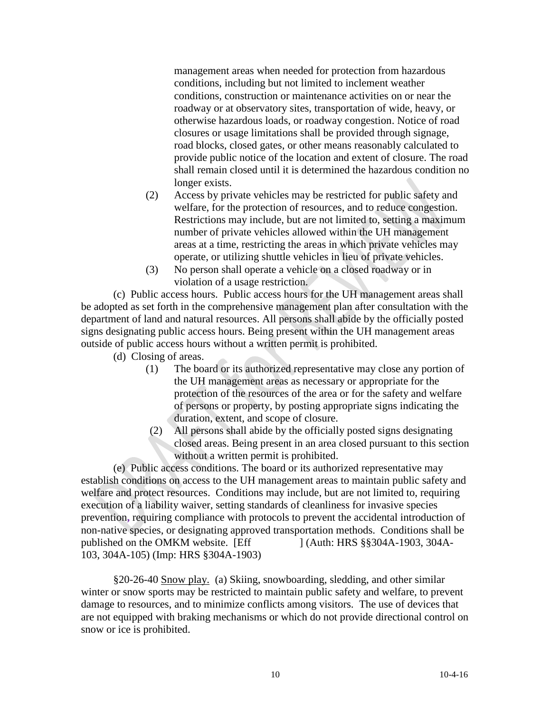management areas when needed for protection from hazardous conditions, including but not limited to inclement weather conditions, construction or maintenance activities on or near the roadway or at observatory sites, transportation of wide, heavy, or otherwise hazardous loads, or roadway congestion. Notice of road closures or usage limitations shall be provided through signage, road blocks, closed gates, or other means reasonably calculated to provide public notice of the location and extent of closure. The road shall remain closed until it is determined the hazardous condition no longer exists.

- (2) Access by private vehicles may be restricted for public safety and welfare, for the protection of resources, and to reduce congestion. Restrictions may include, but are not limited to, setting a maximum number of private vehicles allowed within the UH management areas at a time, restricting the areas in which private vehicles may operate, or utilizing shuttle vehicles in lieu of private vehicles.
- (3) No person shall operate a vehicle on a closed roadway or in violation of a usage restriction.

(c) Public access hours. Public access hours for the UH management areas shall be adopted as set forth in the comprehensive management plan after consultation with the department of land and natural resources. All persons shall abide by the officially posted signs designating public access hours. Being present within the UH management areas outside of public access hours without a written permit is prohibited.

- (d) Closing of areas.
	- (1) The board or its authorized representative may close any portion of the UH management areas as necessary or appropriate for the protection of the resources of the area or for the safety and welfare of persons or property, by posting appropriate signs indicating the duration, extent, and scope of closure.
	- (2) All persons shall abide by the officially posted signs designating closed areas. Being present in an area closed pursuant to this section without a written permit is prohibited.

(e) Public access conditions. The board or its authorized representative may establish conditions on access to the UH management areas to maintain public safety and welfare and protect resources. Conditions may include, but are not limited to, requiring execution of a liability waiver, setting standards of cleanliness for invasive species prevention**,** requiring compliance with protocols to prevent the accidental introduction of non-native species, or designating approved transportation methods. Conditions shall be published on the OMKM website. [Eff ] (Auth: HRS §§304A-1903, 304A-103, 304A-105) (Imp: HRS §304A-1903)

§20-26-40 Snow play. (a) Skiing, snowboarding, sledding, and other similar winter or snow sports may be restricted to maintain public safety and welfare, to prevent damage to resources, and to minimize conflicts among visitors. The use of devices that are not equipped with braking mechanisms or which do not provide directional control on snow or ice is prohibited.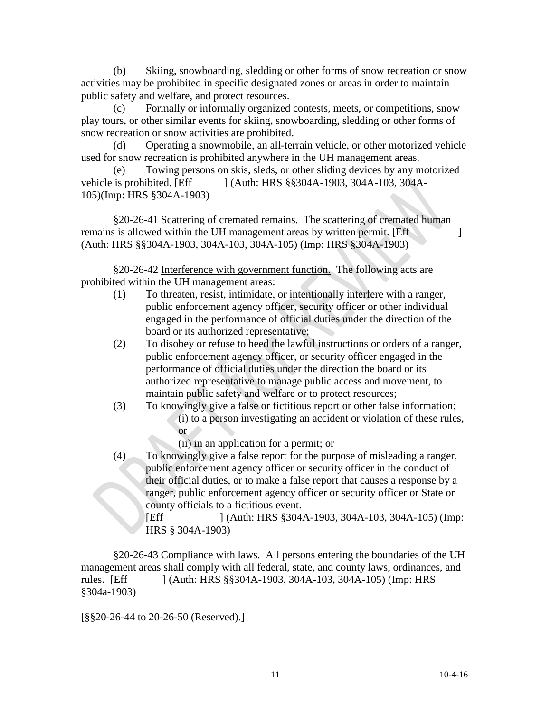(b) Skiing, snowboarding, sledding or other forms of snow recreation or snow activities may be prohibited in specific designated zones or areas in order to maintain public safety and welfare, and protect resources.

Formally or informally organized contests, meets, or competitions, snow play tours, or other similar events for skiing, snowboarding, sledding or other forms of snow recreation or snow activities are prohibited.

(d) Operating a snowmobile, an all-terrain vehicle, or other motorized vehicle used for snow recreation is prohibited anywhere in the UH management areas.

(e) Towing persons on skis, sleds, or other sliding devices by any motorized vehicle is prohibited. [Eff ] (Auth: HRS §§304A-1903, 304A-103, 304A-105)(Imp: HRS §304A-1903)

§20-26-41 Scattering of cremated remains. The scattering of cremated human remains is allowed within the UH management areas by written permit. [Eff ] (Auth: HRS §§304A-1903, 304A-103, 304A-105) (Imp: HRS §304A-1903)

§20-26-42 Interference with government function. The following acts are prohibited within the UH management areas:

- (1) To threaten, resist, intimidate, or intentionally interfere with a ranger, public enforcement agency officer, security officer or other individual engaged in the performance of official duties under the direction of the board or its authorized representative;
- (2) To disobey or refuse to heed the lawful instructions or orders of a ranger, public enforcement agency officer, or security officer engaged in the performance of official duties under the direction the board or its authorized representative to manage public access and movement, to maintain public safety and welfare or to protect resources;
- (3) To knowingly give a false or fictitious report or other false information: (i) to a person investigating an accident or violation of these rules, or
	- (ii) in an application for a permit; or
- (4) To knowingly give a false report for the purpose of misleading a ranger, public enforcement agency officer or security officer in the conduct of their official duties, or to make a false report that causes a response by a ranger, public enforcement agency officer or security officer or State or county officials to a fictitious event.

[Eff ] (Auth: HRS §304A-1903, 304A-103, 304A-105) (Imp: HRS § 304A-1903)

§20-26-43 Compliance with laws. All persons entering the boundaries of the UH management areas shall comply with all federal, state, and county laws, ordinances, and rules. [Eff ] (Auth: HRS §§304A-1903, 304A-103, 304A-105) (Imp: HRS §304a-1903)

[§§20-26-44 to 20-26-50 (Reserved).]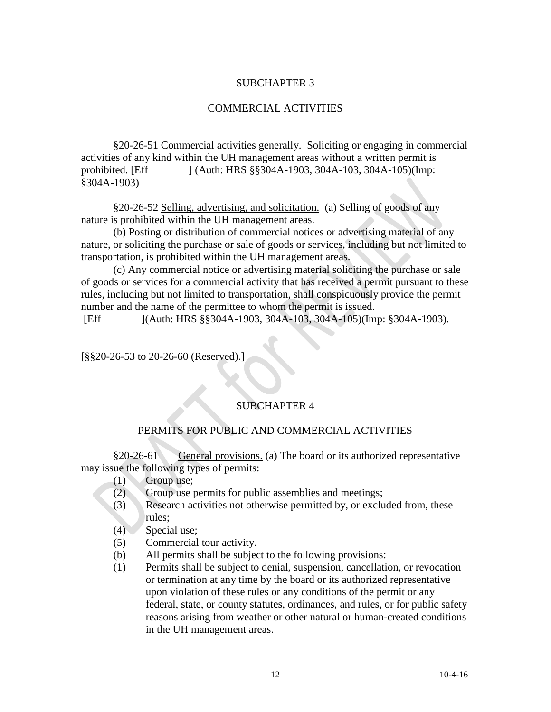## SUBCHAPTER 3

### COMMERCIAL ACTIVITIES

§20-26-51 Commercial activities generally. Soliciting or engaging in commercial activities of any kind within the UH management areas without a written permit is prohibited. [Eff ] (Auth: HRS §§304A-1903, 304A-103, 304A-105)(Imp: §304A-1903)

§20-26-52 Selling, advertising, and solicitation. (a) Selling of goods of any nature is prohibited within the UH management areas.

(b) Posting or distribution of commercial notices or advertising material of any nature, or soliciting the purchase or sale of goods or services, including but not limited to transportation, is prohibited within the UH management areas.

(c) Any commercial notice or advertising material soliciting the purchase or sale of goods or services for a commercial activity that has received a permit pursuant to these rules, including but not limited to transportation, shall conspicuously provide the permit number and the name of the permittee to whom the permit is issued.

[Eff ](Auth: HRS §§304A-1903, 304A-103, 304A-105)(Imp: §304A-1903).

[§§20-26-53 to 20-26-60 (Reserved).]

## SUBCHAPTER 4

### PERMITS FOR PUBLIC AND COMMERCIAL ACTIVITIES

§20-26-61 General provisions. (a) The board or its authorized representative may issue the following types of permits:

- (1) Group use;
- (2) Group use permits for public assemblies and meetings;
- (3) Research activities not otherwise permitted by, or excluded from, these rules;
- (4) Special use;
- (5) Commercial tour activity.
- (b) All permits shall be subject to the following provisions:
- (1) Permits shall be subject to denial, suspension, cancellation, or revocation or termination at any time by the board or its authorized representative upon violation of these rules or any conditions of the permit or any federal, state, or county statutes, ordinances, and rules, or for public safety reasons arising from weather or other natural or human-created conditions in the UH management areas.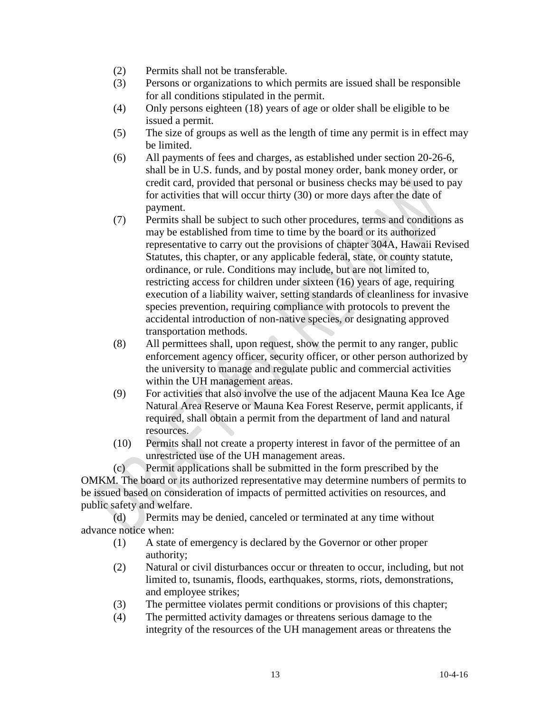- (2) Permits shall not be transferable.
- (3) Persons or organizations to which permits are issued shall be responsible for all conditions stipulated in the permit.
- (4) Only persons eighteen (18) years of age or older shall be eligible to be issued a permit.
- (5) The size of groups as well as the length of time any permit is in effect may be limited.
- (6) All payments of fees and charges, as established under section 20-26-6, shall be in U.S. funds, and by postal money order, bank money order, or credit card, provided that personal or business checks may be used to pay for activities that will occur thirty (30) or more days after the date of payment.
- (7) Permits shall be subject to such other procedures, terms and conditions as may be established from time to time by the board or its authorized representative to carry out the provisions of chapter 304A, Hawaii Revised Statutes, this chapter, or any applicable federal, state, or county statute, ordinance, or rule. Conditions may include, but are not limited to, restricting access for children under sixteen (16) years of age, requiring execution of a liability waiver, setting standards of cleanliness for invasive species prevention**,** requiring compliance with protocols to prevent the accidental introduction of non-native species, or designating approved transportation methods.
- (8) All permittees shall, upon request, show the permit to any ranger, public enforcement agency officer, security officer, or other person authorized by the university to manage and regulate public and commercial activities within the UH management areas.
- (9) For activities that also involve the use of the adjacent Mauna Kea Ice Age Natural Area Reserve or Mauna Kea Forest Reserve, permit applicants, if required, shall obtain a permit from the department of land and natural resources.
- (10) Permits shall not create a property interest in favor of the permittee of an unrestricted use of the UH management areas.

(c) Permit applications shall be submitted in the form prescribed by the OMKM. The board or its authorized representative may determine numbers of permits to be issued based on consideration of impacts of permitted activities on resources, and public safety and welfare.

(d) Permits may be denied, canceled or terminated at any time without advance notice when:

- (1) A state of emergency is declared by the Governor or other proper authority;
- (2) Natural or civil disturbances occur or threaten to occur, including, but not limited to, tsunamis, floods, earthquakes, storms, riots, demonstrations, and employee strikes;
- (3) The permittee violates permit conditions or provisions of this chapter;
- (4) The permitted activity damages or threatens serious damage to the integrity of the resources of the UH management areas or threatens the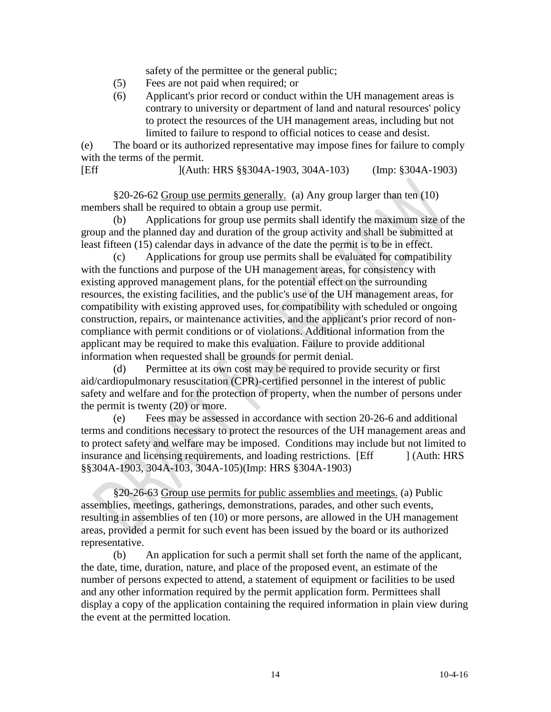safety of the permittee or the general public;

- (5) Fees are not paid when required; or
- (6) Applicant's prior record or conduct within the UH management areas is contrary to university or department of land and natural resources' policy to protect the resources of the UH management areas, including but not limited to failure to respond to official notices to cease and desist.

(e) The board or its authorized representative may impose fines for failure to comply with the terms of the permit.

[Eff ](Auth: HRS §§304A-1903, 304A-103) (Imp: §304A-1903)

§20-26-62 Group use permits generally. (a) Any group larger than ten (10) members shall be required to obtain a group use permit.

(b) Applications for group use permits shall identify the maximum size of the group and the planned day and duration of the group activity and shall be submitted at least fifteen (15) calendar days in advance of the date the permit is to be in effect.

(c) Applications for group use permits shall be evaluated for compatibility with the functions and purpose of the UH management areas, for consistency with existing approved management plans, for the potential effect on the surrounding resources, the existing facilities, and the public's use of the UH management areas, for compatibility with existing approved uses, for compatibility with scheduled or ongoing construction, repairs, or maintenance activities, and the applicant's prior record of noncompliance with permit conditions or of violations. Additional information from the applicant may be required to make this evaluation. Failure to provide additional information when requested shall be grounds for permit denial.

(d) Permittee at its own cost may be required to provide security or first aid/cardiopulmonary resuscitation (CPR)-certified personnel in the interest of public safety and welfare and for the protection of property, when the number of persons under the permit is twenty (20) or more.

(e) Fees may be assessed in accordance with section 20-26-6 and additional terms and conditions necessary to protect the resources of the UH management areas and to protect safety and welfare may be imposed. Conditions may include but not limited to insurance and licensing requirements, and loading restrictions. [Eff ] (Auth: HRS §§304A-1903, 304A-103, 304A-105)(Imp: HRS §304A-1903)

§20-26-63 Group use permits for public assemblies and meetings. (a) Public assemblies, meetings, gatherings, demonstrations, parades, and other such events, resulting in assemblies of ten (10) or more persons, are allowed in the UH management areas, provided a permit for such event has been issued by the board or its authorized representative.

(b) An application for such a permit shall set forth the name of the applicant, the date, time, duration, nature, and place of the proposed event, an estimate of the number of persons expected to attend, a statement of equipment or facilities to be used and any other information required by the permit application form. Permittees shall display a copy of the application containing the required information in plain view during the event at the permitted location.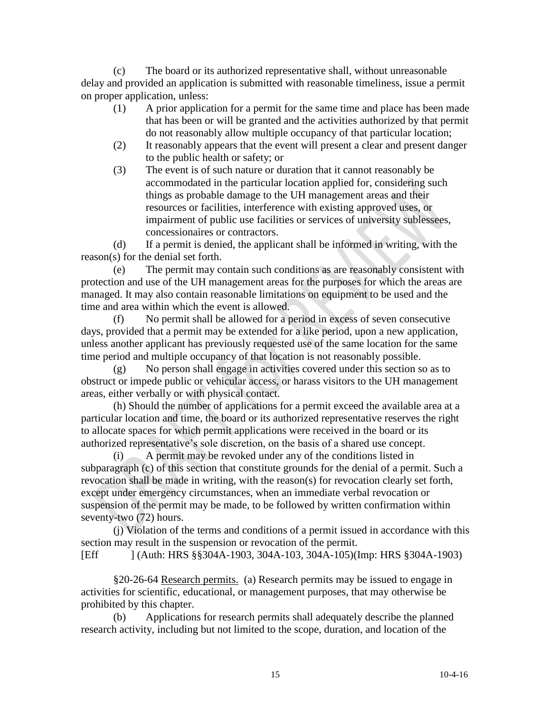(c) The board or its authorized representative shall, without unreasonable delay and provided an application is submitted with reasonable timeliness, issue a permit on proper application, unless:

- (1) A prior application for a permit for the same time and place has been made that has been or will be granted and the activities authorized by that permit do not reasonably allow multiple occupancy of that particular location;
- (2) It reasonably appears that the event will present a clear and present danger to the public health or safety; or
- (3) The event is of such nature or duration that it cannot reasonably be accommodated in the particular location applied for, considering such things as probable damage to the UH management areas and their resources or facilities, interference with existing approved uses, or impairment of public use facilities or services of university sublessees, concessionaires or contractors.

(d) If a permit is denied, the applicant shall be informed in writing, with the reason(s) for the denial set forth.

 (e) The permit may contain such conditions as are reasonably consistent with protection and use of the UH management areas for the purposes for which the areas are managed. It may also contain reasonable limitations on equipment to be used and the time and area within which the event is allowed.

No permit shall be allowed for a period in excess of seven consecutive days, provided that a permit may be extended for a like period, upon a new application, unless another applicant has previously requested use of the same location for the same time period and multiple occupancy of that location is not reasonably possible.

(g) No person shall engage in activities covered under this section so as to obstruct or impede public or vehicular access, or harass visitors to the UH management areas, either verbally or with physical contact.

 (h) Should the number of applications for a permit exceed the available area at a particular location and time, the board or its authorized representative reserves the right to allocate spaces for which permit applications were received in the board or its authorized representative's sole discretion, on the basis of a shared use concept.

(i) A permit may be revoked under any of the conditions listed in subparagraph (c) of this section that constitute grounds for the denial of a permit. Such a revocation shall be made in writing, with the reason(s) for revocation clearly set forth, except under emergency circumstances, when an immediate verbal revocation or suspension of the permit may be made, to be followed by written confirmation within seventy-two (72) hours.

(j) Violation of the terms and conditions of a permit issued in accordance with this section may result in the suspension or revocation of the permit.

```
[Eff ] (Auth: HRS §§304A-1903, 304A-103, 304A-105)(Imp: HRS §304A-1903)
```
§20-26-64 Research permits. (a) Research permits may be issued to engage in activities for scientific, educational, or management purposes, that may otherwise be prohibited by this chapter.

(b) Applications for research permits shall adequately describe the planned research activity, including but not limited to the scope, duration, and location of the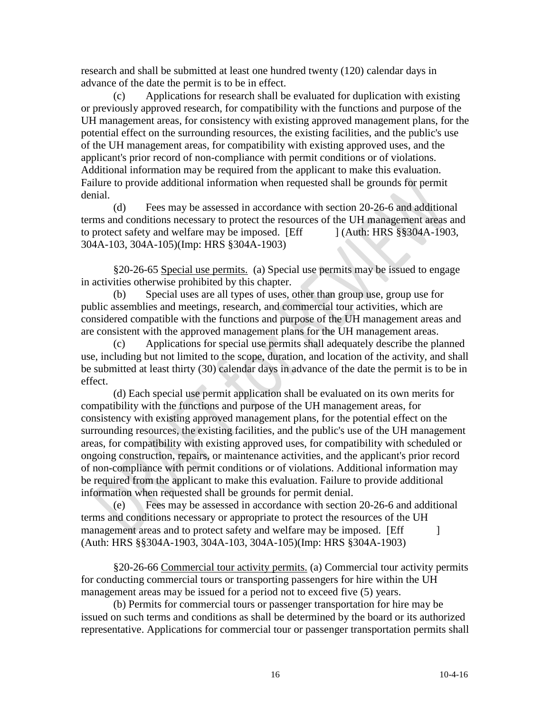research and shall be submitted at least one hundred twenty (120) calendar days in advance of the date the permit is to be in effect.

(c) Applications for research shall be evaluated for duplication with existing or previously approved research, for compatibility with the functions and purpose of the UH management areas, for consistency with existing approved management plans, for the potential effect on the surrounding resources, the existing facilities, and the public's use of the UH management areas, for compatibility with existing approved uses, and the applicant's prior record of non-compliance with permit conditions or of violations. Additional information may be required from the applicant to make this evaluation. Failure to provide additional information when requested shall be grounds for permit denial.

(d) Fees may be assessed in accordance with section 20-26-6 and additional terms and conditions necessary to protect the resources of the UH management areas and to protect safety and welfare may be imposed. [Eff ] (Auth: HRS §§304A-1903, 304A-103, 304A-105)(Imp: HRS §304A-1903)

§20-26-65 Special use permits. (a) Special use permits may be issued to engage in activities otherwise prohibited by this chapter.

(b) Special uses are all types of uses, other than group use, group use for public assemblies and meetings, research, and commercial tour activities, which are considered compatible with the functions and purpose of the UH management areas and are consistent with the approved management plans for the UH management areas.

(c) Applications for special use permits shall adequately describe the planned use, including but not limited to the scope, duration, and location of the activity, and shall be submitted at least thirty (30) calendar days in advance of the date the permit is to be in effect.

(d) Each special use permit application shall be evaluated on its own merits for compatibility with the functions and purpose of the UH management areas, for consistency with existing approved management plans, for the potential effect on the surrounding resources, the existing facilities, and the public's use of the UH management areas, for compatibility with existing approved uses, for compatibility with scheduled or ongoing construction, repairs, or maintenance activities, and the applicant's prior record of non-compliance with permit conditions or of violations. Additional information may be required from the applicant to make this evaluation. Failure to provide additional information when requested shall be grounds for permit denial.

(e) Fees may be assessed in accordance with section 20-26-6 and additional terms and conditions necessary or appropriate to protect the resources of the UH management areas and to protect safety and welfare may be imposed. [Eff ] (Auth: HRS §§304A-1903, 304A-103, 304A-105)(Imp: HRS §304A-1903)

§20-26-66 Commercial tour activity permits. (a) Commercial tour activity permits for conducting commercial tours or transporting passengers for hire within the UH management areas may be issued for a period not to exceed five (5) years.

(b) Permits for commercial tours or passenger transportation for hire may be issued on such terms and conditions as shall be determined by the board or its authorized representative. Applications for commercial tour or passenger transportation permits shall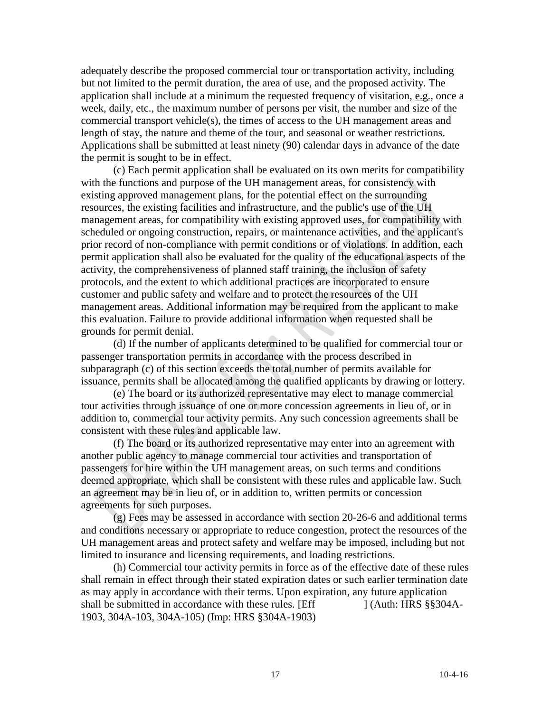adequately describe the proposed commercial tour or transportation activity, including but not limited to the permit duration, the area of use, and the proposed activity. The application shall include at a minimum the requested frequency of visitation, e.g., once a week, daily, etc., the maximum number of persons per visit, the number and size of the commercial transport vehicle(s), the times of access to the UH management areas and length of stay, the nature and theme of the tour, and seasonal or weather restrictions. Applications shall be submitted at least ninety (90) calendar days in advance of the date the permit is sought to be in effect.

(c) Each permit application shall be evaluated on its own merits for compatibility with the functions and purpose of the UH management areas, for consistency with existing approved management plans, for the potential effect on the surrounding resources, the existing facilities and infrastructure, and the public's use of the UH management areas, for compatibility with existing approved uses, for compatibility with scheduled or ongoing construction, repairs, or maintenance activities, and the applicant's prior record of non-compliance with permit conditions or of violations. In addition, each permit application shall also be evaluated for the quality of the educational aspects of the activity, the comprehensiveness of planned staff training, the inclusion of safety protocols, and the extent to which additional practices are incorporated to ensure customer and public safety and welfare and to protect the resources of the UH management areas. Additional information may be required from the applicant to make this evaluation. Failure to provide additional information when requested shall be grounds for permit denial.

(d) If the number of applicants determined to be qualified for commercial tour or passenger transportation permits in accordance with the process described in subparagraph (c) of this section exceeds the total number of permits available for issuance, permits shall be allocated among the qualified applicants by drawing or lottery.

(e) The board or its authorized representative may elect to manage commercial tour activities through issuance of one or more concession agreements in lieu of, or in addition to, commercial tour activity permits. Any such concession agreements shall be consistent with these rules and applicable law.

(f) The board or its authorized representative may enter into an agreement with another public agency to manage commercial tour activities and transportation of passengers for hire within the UH management areas, on such terms and conditions deemed appropriate, which shall be consistent with these rules and applicable law. Such an agreement may be in lieu of, or in addition to, written permits or concession agreements for such purposes.

(g) Fees may be assessed in accordance with section 20-26-6 and additional terms and conditions necessary or appropriate to reduce congestion, protect the resources of the UH management areas and protect safety and welfare may be imposed, including but not limited to insurance and licensing requirements, and loading restrictions.

(h) Commercial tour activity permits in force as of the effective date of these rules shall remain in effect through their stated expiration dates or such earlier termination date as may apply in accordance with their terms. Upon expiration, any future application shall be submitted in accordance with these rules. [Eff ] (Auth: HRS §§304A-1903, 304A-103, 304A-105) (Imp: HRS §304A-1903)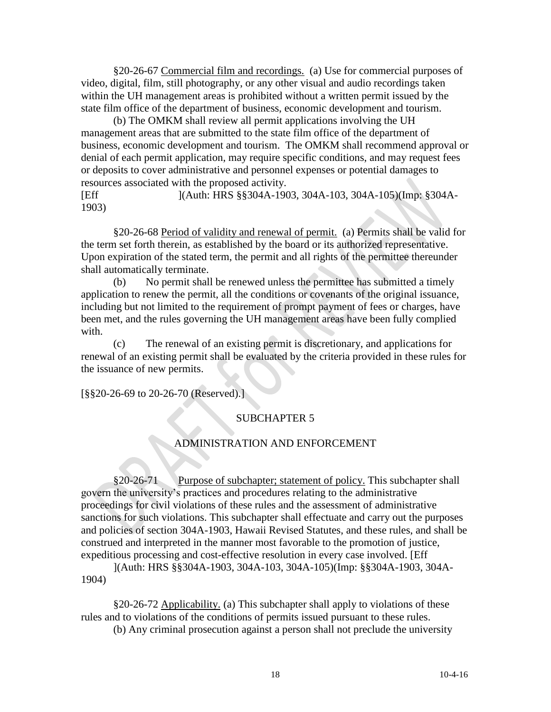§20-26-67 Commercial film and recordings. (a) Use for commercial purposes of video, digital, film, still photography, or any other visual and audio recordings taken within the UH management areas is prohibited without a written permit issued by the state film office of the department of business, economic development and tourism.

(b) The OMKM shall review all permit applications involving the UH management areas that are submitted to the state film office of the department of business, economic development and tourism. The OMKM shall recommend approval or denial of each permit application, may require specific conditions, and may request fees or deposits to cover administrative and personnel expenses or potential damages to resources associated with the proposed activity.

[Eff ](Auth: HRS §§304A-1903, 304A-103, 304A-105)(Imp: §304A-1903)

§20-26-68 Period of validity and renewal of permit. (a) Permits shall be valid for the term set forth therein, as established by the board or its authorized representative. Upon expiration of the stated term, the permit and all rights of the permittee thereunder shall automatically terminate.

(b) No permit shall be renewed unless the permittee has submitted a timely application to renew the permit, all the conditions or covenants of the original issuance, including but not limited to the requirement of prompt payment of fees or charges, have been met, and the rules governing the UH management areas have been fully complied with.

(c) The renewal of an existing permit is discretionary, and applications for renewal of an existing permit shall be evaluated by the criteria provided in these rules for the issuance of new permits.

[§§20-26-69 to 20-26-70 (Reserved).]

### SUBCHAPTER 5

#### ADMINISTRATION AND ENFORCEMENT

§20-26-71 Purpose of subchapter; statement of policy. This subchapter shall govern the university's practices and procedures relating to the administrative proceedings for civil violations of these rules and the assessment of administrative sanctions for such violations. This subchapter shall effectuate and carry out the purposes and policies of section 304A-1903, Hawaii Revised Statutes, and these rules, and shall be construed and interpreted in the manner most favorable to the promotion of justice, expeditious processing and cost-effective resolution in every case involved. [Eff

](Auth: HRS §§304A-1903, 304A-103, 304A-105)(Imp: §§304A-1903, 304A-1904)

§20-26-72 Applicability. (a) This subchapter shall apply to violations of these rules and to violations of the conditions of permits issued pursuant to these rules.

(b) Any criminal prosecution against a person shall not preclude the university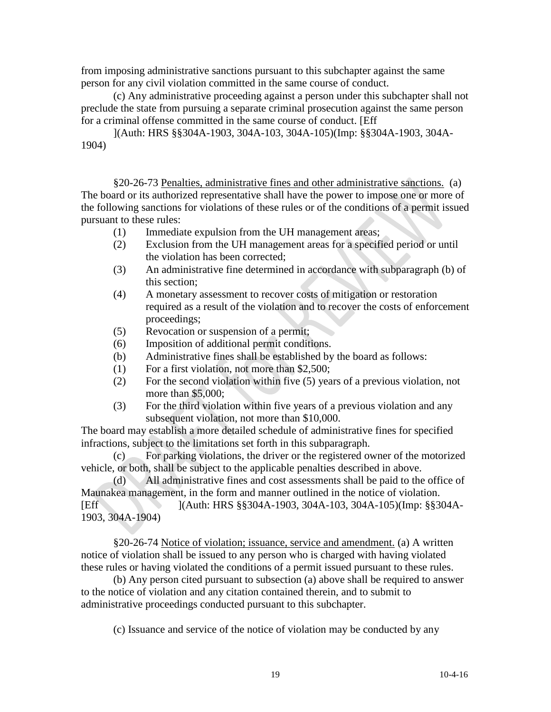from imposing administrative sanctions pursuant to this subchapter against the same person for any civil violation committed in the same course of conduct.

(c) Any administrative proceeding against a person under this subchapter shall not preclude the state from pursuing a separate criminal prosecution against the same person for a criminal offense committed in the same course of conduct. [Eff

](Auth: HRS §§304A-1903, 304A-103, 304A-105)(Imp: §§304A-1903, 304A-1904)

§20-26-73 Penalties, administrative fines and other administrative sanctions. (a) The board or its authorized representative shall have the power to impose one or more of the following sanctions for violations of these rules or of the conditions of a permit issued pursuant to these rules:

- (1) Immediate expulsion from the UH management areas;
- (2) Exclusion from the UH management areas for a specified period or until the violation has been corrected;
- (3) An administrative fine determined in accordance with subparagraph (b) of this section;
- (4) A monetary assessment to recover costs of mitigation or restoration required as a result of the violation and to recover the costs of enforcement proceedings;
- (5) Revocation or suspension of a permit;
- (6) Imposition of additional permit conditions.
- (b) Administrative fines shall be established by the board as follows:
- (1) For a first violation, not more than \$2,500;
- (2) For the second violation within five (5) years of a previous violation, not more than \$5,000:
- (3) For the third violation within five years of a previous violation and any subsequent violation, not more than \$10,000.

The board may establish a more detailed schedule of administrative fines for specified infractions, subject to the limitations set forth in this subparagraph.

(c) For parking violations, the driver or the registered owner of the motorized vehicle, or both, shall be subject to the applicable penalties described in above.

(d) All administrative fines and cost assessments shall be paid to the office of Maunakea management, in the form and manner outlined in the notice of violation. [Eff ](Auth: HRS §§304A-1903, 304A-103, 304A-105)(Imp: §§304A-

1903, 304A-1904)

§20-26-74 Notice of violation; issuance, service and amendment. (a) A written notice of violation shall be issued to any person who is charged with having violated these rules or having violated the conditions of a permit issued pursuant to these rules.

(b) Any person cited pursuant to subsection (a) above shall be required to answer to the notice of violation and any citation contained therein, and to submit to administrative proceedings conducted pursuant to this subchapter.

(c) Issuance and service of the notice of violation may be conducted by any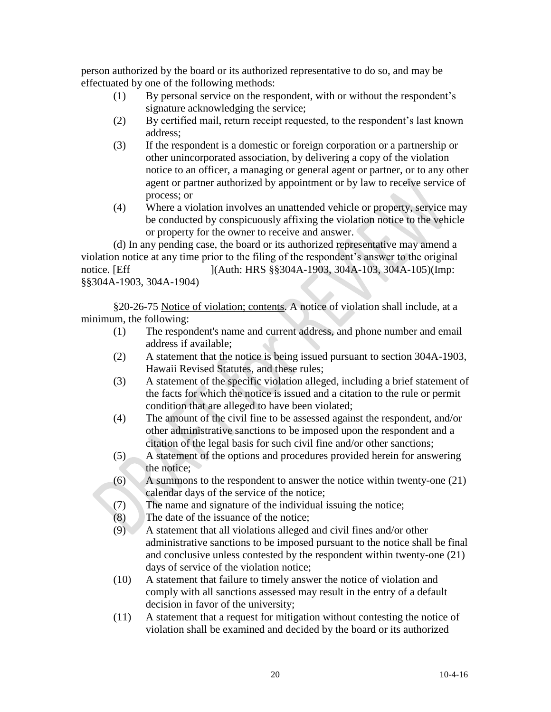person authorized by the board or its authorized representative to do so, and may be effectuated by one of the following methods:

- (1) By personal service on the respondent, with or without the respondent's signature acknowledging the service;
- (2) By certified mail, return receipt requested, to the respondent's last known address;
- (3) If the respondent is a domestic or foreign corporation or a partnership or other unincorporated association, by delivering a copy of the violation notice to an officer, a managing or general agent or partner, or to any other agent or partner authorized by appointment or by law to receive service of process; or
- (4) Where a violation involves an unattended vehicle or property, service may be conducted by conspicuously affixing the violation notice to the vehicle or property for the owner to receive and answer.

(d) In any pending case, the board or its authorized representative may amend a violation notice at any time prior to the filing of the respondent's answer to the original notice. [Eff ](Auth: HRS §§304A-1903, 304A-103, 304A-105)(Imp: §§304A-1903, 304A-1904)

§20-26-75 Notice of violation; contents. A notice of violation shall include, at a minimum, the following:

- (1) The respondent's name and current address, and phone number and email address if available;
- (2) A statement that the notice is being issued pursuant to section 304A-1903, Hawaii Revised Statutes, and these rules;
- (3) A statement of the specific violation alleged, including a brief statement of the facts for which the notice is issued and a citation to the rule or permit condition that are alleged to have been violated;
- (4) The amount of the civil fine to be assessed against the respondent, and/or other administrative sanctions to be imposed upon the respondent and a citation of the legal basis for such civil fine and/or other sanctions;
- (5) A statement of the options and procedures provided herein for answering the notice;
- (6) A summons to the respondent to answer the notice within twenty-one (21) calendar days of the service of the notice;
- (7) The name and signature of the individual issuing the notice;
- (8) The date of the issuance of the notice;
- (9) A statement that all violations alleged and civil fines and/or other administrative sanctions to be imposed pursuant to the notice shall be final and conclusive unless contested by the respondent within twenty-one (21) days of service of the violation notice;
- (10) A statement that failure to timely answer the notice of violation and comply with all sanctions assessed may result in the entry of a default decision in favor of the university;
- (11) A statement that a request for mitigation without contesting the notice of violation shall be examined and decided by the board or its authorized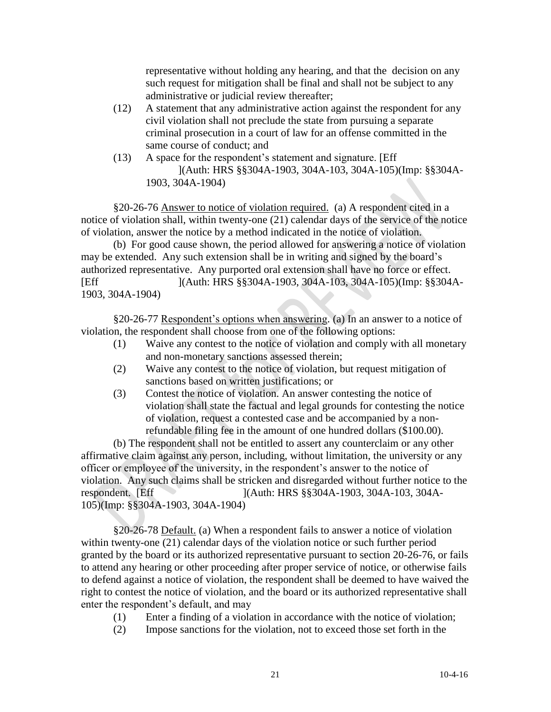representative without holding any hearing, and that the decision on any such request for mitigation shall be final and shall not be subject to any administrative or judicial review thereafter;

- (12) A statement that any administrative action against the respondent for any civil violation shall not preclude the state from pursuing a separate criminal prosecution in a court of law for an offense committed in the same course of conduct; and
- (13) A space for the respondent's statement and signature. [Eff ](Auth: HRS §§304A-1903, 304A-103, 304A-105)(Imp: §§304A-1903, 304A-1904)

§20-26-76 Answer to notice of violation required. (a) A respondent cited in a notice of violation shall, within twenty-one (21) calendar days of the service of the notice of violation, answer the notice by a method indicated in the notice of violation.

(b) For good cause shown, the period allowed for answering a notice of violation may be extended. Any such extension shall be in writing and signed by the board's authorized representative. Any purported oral extension shall have no force or effect. [Eff ](Auth: HRS §§304A-1903, 304A-103, 304A-105)(Imp: §§304A-1903, 304A-1904)

§20-26-77 Respondent's options when answering. (a) In an answer to a notice of violation, the respondent shall choose from one of the following options:

- (1) Waive any contest to the notice of violation and comply with all monetary and non-monetary sanctions assessed therein;
- (2) Waive any contest to the notice of violation, but request mitigation of sanctions based on written justifications; or
- (3) Contest the notice of violation. An answer contesting the notice of violation shall state the factual and legal grounds for contesting the notice of violation, request a contested case and be accompanied by a nonrefundable filing fee in the amount of one hundred dollars (\$100.00).

(b) The respondent shall not be entitled to assert any counterclaim or any other affirmative claim against any person, including, without limitation, the university or any officer or employee of the university, in the respondent's answer to the notice of violation. Any such claims shall be stricken and disregarded without further notice to the respondent. [Eff ](Auth: HRS §§304A-1903, 304A-103, 304A-105)(Imp: §§304A-1903, 304A-1904)

§20-26-78 Default. (a) When a respondent fails to answer a notice of violation within twenty-one (21) calendar days of the violation notice or such further period granted by the board or its authorized representative pursuant to section 20-26-76, or fails to attend any hearing or other proceeding after proper service of notice, or otherwise fails to defend against a notice of violation, the respondent shall be deemed to have waived the right to contest the notice of violation, and the board or its authorized representative shall enter the respondent's default, and may

- (1) Enter a finding of a violation in accordance with the notice of violation;
- (2) Impose sanctions for the violation, not to exceed those set forth in the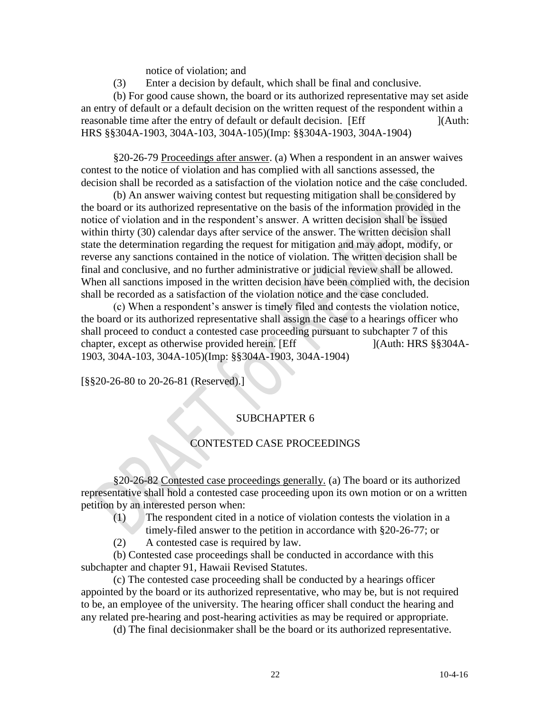notice of violation; and

(3) Enter a decision by default, which shall be final and conclusive.

(b) For good cause shown, the board or its authorized representative may set aside an entry of default or a default decision on the written request of the respondent within a reasonable time after the entry of default or default decision. [Eff [164] [(Auth: HRS §§304A-1903, 304A-103, 304A-105)(Imp: §§304A-1903, 304A-1904)

§20-26-79 Proceedings after answer. (a) When a respondent in an answer waives contest to the notice of violation and has complied with all sanctions assessed, the decision shall be recorded as a satisfaction of the violation notice and the case concluded.

(b) An answer waiving contest but requesting mitigation shall be considered by the board or its authorized representative on the basis of the information provided in the notice of violation and in the respondent's answer. A written decision shall be issued within thirty (30) calendar days after service of the answer. The written decision shall state the determination regarding the request for mitigation and may adopt, modify, or reverse any sanctions contained in the notice of violation. The written decision shall be final and conclusive, and no further administrative or judicial review shall be allowed. When all sanctions imposed in the written decision have been complied with, the decision shall be recorded as a satisfaction of the violation notice and the case concluded.

(c) When a respondent's answer is timely filed and contests the violation notice, the board or its authorized representative shall assign the case to a hearings officer who shall proceed to conduct a contested case proceeding pursuant to subchapter 7 of this chapter, except as otherwise provided herein. [Eff ](Auth: HRS §§304A-1903, 304A-103, 304A-105)(Imp: §§304A-1903, 304A-1904)

[§§20-26-80 to 20-26-81 (Reserved).]

### SUBCHAPTER 6

### CONTESTED CASE PROCEEDINGS

§20-26-82 Contested case proceedings generally. (a) The board or its authorized representative shall hold a contested case proceeding upon its own motion or on a written petition by an interested person when:

- (1) The respondent cited in a notice of violation contests the violation in a
- timely-filed answer to the petition in accordance with §20-26-77; or
- (2) A contested case is required by law.

(b) Contested case proceedings shall be conducted in accordance with this subchapter and chapter 91, Hawaii Revised Statutes.

(c) The contested case proceeding shall be conducted by a hearings officer appointed by the board or its authorized representative, who may be, but is not required to be, an employee of the university. The hearing officer shall conduct the hearing and any related pre-hearing and post-hearing activities as may be required or appropriate.

(d) The final decisionmaker shall be the board or its authorized representative.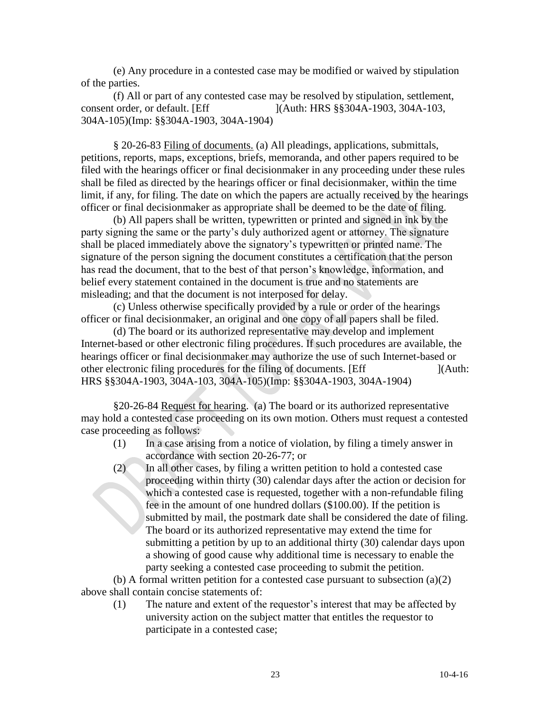(e) Any procedure in a contested case may be modified or waived by stipulation of the parties.

(f) All or part of any contested case may be resolved by stipulation, settlement, consent order, or default. [Eff ](Auth: HRS §§304A-1903, 304A-103, 304A-105)(Imp: §§304A-1903, 304A-1904)

§ 20-26-83 Filing of documents. (a) All pleadings, applications, submittals, petitions, reports, maps, exceptions, briefs, memoranda, and other papers required to be filed with the hearings officer or final decisionmaker in any proceeding under these rules shall be filed as directed by the hearings officer or final decisionmaker, within the time limit, if any, for filing. The date on which the papers are actually received by the hearings officer or final decisionmaker as appropriate shall be deemed to be the date of filing.

(b) All papers shall be written, typewritten or printed and signed in ink by the party signing the same or the party's duly authorized agent or attorney. The signature shall be placed immediately above the signatory's typewritten or printed name. The signature of the person signing the document constitutes a certification that the person has read the document, that to the best of that person's knowledge, information, and belief every statement contained in the document is true and no statements are misleading; and that the document is not interposed for delay.

(c) Unless otherwise specifically provided by a rule or order of the hearings officer or final decisionmaker, an original and one copy of all papers shall be filed.

(d) The board or its authorized representative may develop and implement Internet-based or other electronic filing procedures. If such procedures are available, the hearings officer or final decisionmaker may authorize the use of such Internet-based or other electronic filing procedures for the filing of documents. [Eff ](Auth: HRS §§304A-1903, 304A-103, 304A-105)(Imp: §§304A-1903, 304A-1904)

§20-26-84 Request for hearing. (a) The board or its authorized representative may hold a contested case proceeding on its own motion. Others must request a contested case proceeding as follows:

- (1) In a case arising from a notice of violation, by filing a timely answer in accordance with section 20-26-77; or
- (2) In all other cases, by filing a written petition to hold a contested case proceeding within thirty (30) calendar days after the action or decision for which a contested case is requested, together with a non-refundable filing fee in the amount of one hundred dollars (\$100.00). If the petition is submitted by mail, the postmark date shall be considered the date of filing. The board or its authorized representative may extend the time for submitting a petition by up to an additional thirty (30) calendar days upon a showing of good cause why additional time is necessary to enable the party seeking a contested case proceeding to submit the petition.

(b) A formal written petition for a contested case pursuant to subsection (a)(2) above shall contain concise statements of:

(1) The nature and extent of the requestor's interest that may be affected by university action on the subject matter that entitles the requestor to participate in a contested case;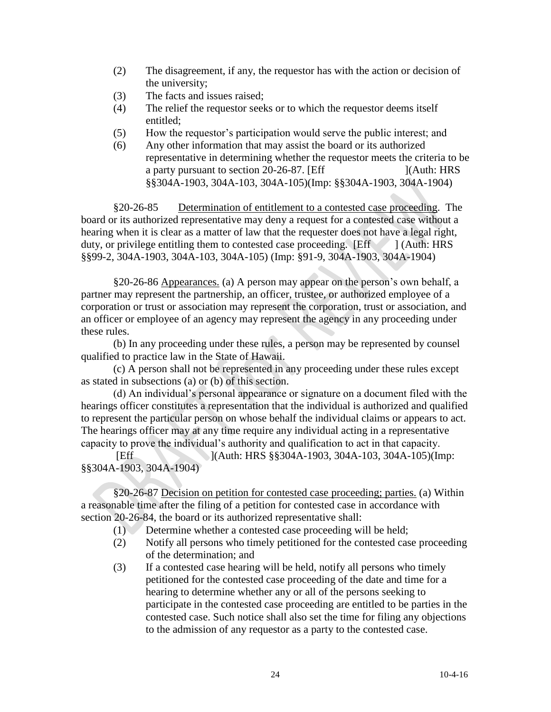- (2) The disagreement, if any, the requestor has with the action or decision of the university;
- (3) The facts and issues raised;
- (4) The relief the requestor seeks or to which the requestor deems itself entitled;
- (5) How the requestor's participation would serve the public interest; and
- (6) Any other information that may assist the board or its authorized representative in determining whether the requestor meets the criteria to be a party pursuant to section 20-26-87. [Eff ](Auth: HRS §§304A-1903, 304A-103, 304A-105)(Imp: §§304A-1903, 304A-1904)

§20-26-85 Determination of entitlement to a contested case proceeding. The board or its authorized representative may deny a request for a contested case without a hearing when it is clear as a matter of law that the requester does not have a legal right, duty, or privilege entitling them to contested case proceeding.  $[Eff]$  [Auth: HRS] §§99-2, 304A-1903, 304A-103, 304A-105) (Imp: §91-9, 304A-1903, 304A-1904)

§20-26-86 Appearances. (a) A person may appear on the person's own behalf, a partner may represent the partnership, an officer, trustee, or authorized employee of a corporation or trust or association may represent the corporation, trust or association, and an officer or employee of an agency may represent the agency in any proceeding under these rules.

(b) In any proceeding under these rules, a person may be represented by counsel qualified to practice law in the State of Hawaii.

(c) A person shall not be represented in any proceeding under these rules except as stated in subsections (a) or (b) of this section.

(d) An individual's personal appearance or signature on a document filed with the hearings officer constitutes a representation that the individual is authorized and qualified to represent the particular person on whose behalf the individual claims or appears to act. The hearings officer may at any time require any individual acting in a representative capacity to prove the individual's authority and qualification to act in that capacity.

[Eff ](Auth: HRS §§304A-1903, 304A-103, 304A-105)(Imp: §§304A-1903, 304A-1904)

§20-26-87 Decision on petition for contested case proceeding; parties. (a) Within a reasonable time after the filing of a petition for contested case in accordance with section 20-26-84, the board or its authorized representative shall:

- (1) Determine whether a contested case proceeding will be held;
- (2) Notify all persons who timely petitioned for the contested case proceeding of the determination; and
- (3) If a contested case hearing will be held, notify all persons who timely petitioned for the contested case proceeding of the date and time for a hearing to determine whether any or all of the persons seeking to participate in the contested case proceeding are entitled to be parties in the contested case. Such notice shall also set the time for filing any objections to the admission of any requestor as a party to the contested case.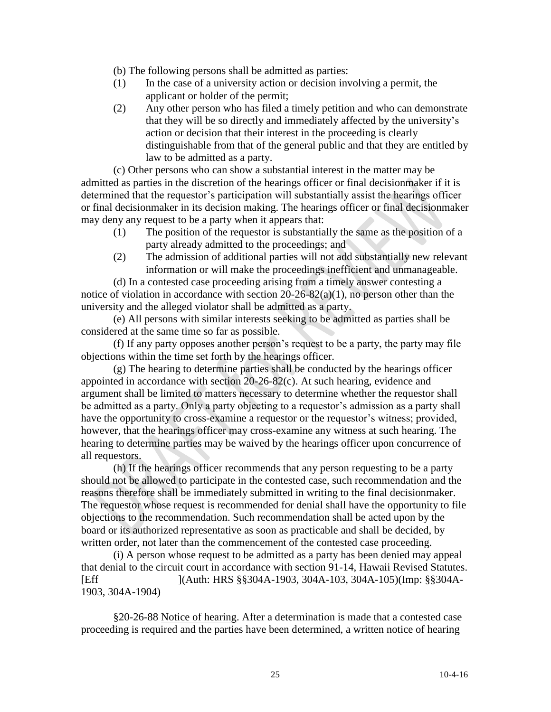(b) The following persons shall be admitted as parties:

- (1) In the case of a university action or decision involving a permit, the applicant or holder of the permit;
- (2) Any other person who has filed a timely petition and who can demonstrate that they will be so directly and immediately affected by the university's action or decision that their interest in the proceeding is clearly distinguishable from that of the general public and that they are entitled by law to be admitted as a party.

(c) Other persons who can show a substantial interest in the matter may be admitted as parties in the discretion of the hearings officer or final decisionmaker if it is determined that the requestor's participation will substantially assist the hearings officer or final decisionmaker in its decision making. The hearings officer or final decisionmaker may deny any request to be a party when it appears that:

- (1) The position of the requestor is substantially the same as the position of a party already admitted to the proceedings; and
- (2) The admission of additional parties will not add substantially new relevant information or will make the proceedings inefficient and unmanageable.

(d) In a contested case proceeding arising from a timely answer contesting a notice of violation in accordance with section 20-26-82(a)(1), no person other than the university and the alleged violator shall be admitted as a party.

(e) All persons with similar interests seeking to be admitted as parties shall be considered at the same time so far as possible.

(f) If any party opposes another person's request to be a party, the party may file objections within the time set forth by the hearings officer.

(g) The hearing to determine parties shall be conducted by the hearings officer appointed in accordance with section 20-26-82(c). At such hearing, evidence and argument shall be limited to matters necessary to determine whether the requestor shall be admitted as a party. Only a party objecting to a requestor's admission as a party shall have the opportunity to cross-examine a requestor or the requestor's witness; provided, however, that the hearings officer may cross-examine any witness at such hearing. The hearing to determine parties may be waived by the hearings officer upon concurrence of all requestors.

(h) If the hearings officer recommends that any person requesting to be a party should not be allowed to participate in the contested case, such recommendation and the reasons therefore shall be immediately submitted in writing to the final decisionmaker. The requestor whose request is recommended for denial shall have the opportunity to file objections to the recommendation. Such recommendation shall be acted upon by the board or its authorized representative as soon as practicable and shall be decided, by written order, not later than the commencement of the contested case proceeding.

(i) A person whose request to be admitted as a party has been denied may appeal that denial to the circuit court in accordance with section 91-14, Hawaii Revised Statutes. [Eff ](Auth: HRS §§304A-1903, 304A-103, 304A-105)(Imp: §§304A-1903, 304A-1904)

§20-26-88 Notice of hearing. After a determination is made that a contested case proceeding is required and the parties have been determined, a written notice of hearing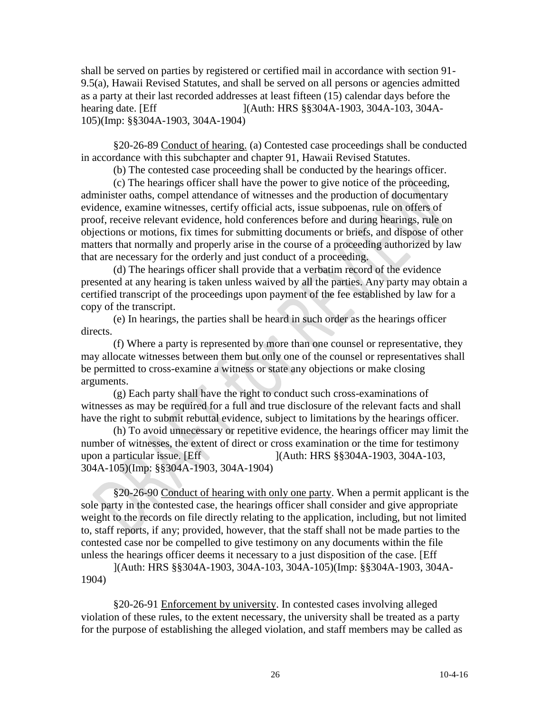shall be served on parties by registered or certified mail in accordance with section 91- 9.5(a), Hawaii Revised Statutes, and shall be served on all persons or agencies admitted as a party at their last recorded addresses at least fifteen (15) calendar days before the hearing date. [Eff ](Auth: HRS §§304A-1903, 304A-103, 304A-105)(Imp: §§304A-1903, 304A-1904)

§20-26-89 Conduct of hearing. (a) Contested case proceedings shall be conducted in accordance with this subchapter and chapter 91, Hawaii Revised Statutes.

(b) The contested case proceeding shall be conducted by the hearings officer.

(c) The hearings officer shall have the power to give notice of the proceeding, administer oaths, compel attendance of witnesses and the production of documentary evidence, examine witnesses, certify official acts, issue subpoenas, rule on offers of proof, receive relevant evidence, hold conferences before and during hearings, rule on objections or motions, fix times for submitting documents or briefs, and dispose of other matters that normally and properly arise in the course of a proceeding authorized by law that are necessary for the orderly and just conduct of a proceeding.

(d) The hearings officer shall provide that a verbatim record of the evidence presented at any hearing is taken unless waived by all the parties. Any party may obtain a certified transcript of the proceedings upon payment of the fee established by law for a copy of the transcript.

(e) In hearings, the parties shall be heard in such order as the hearings officer directs.

(f) Where a party is represented by more than one counsel or representative, they may allocate witnesses between them but only one of the counsel or representatives shall be permitted to cross-examine a witness or state any objections or make closing arguments.

(g) Each party shall have the right to conduct such cross-examinations of witnesses as may be required for a full and true disclosure of the relevant facts and shall have the right to submit rebuttal evidence, subject to limitations by the hearings officer.

(h) To avoid unnecessary or repetitive evidence, the hearings officer may limit the number of witnesses, the extent of direct or cross examination or the time for testimony upon a particular issue. [Eff ](Auth: HRS §§304A-1903, 304A-103, 304A-105)(Imp: §§304A-1903, 304A-1904)

§20-26-90 Conduct of hearing with only one party. When a permit applicant is the sole party in the contested case, the hearings officer shall consider and give appropriate weight to the records on file directly relating to the application, including, but not limited to, staff reports, if any; provided, however, that the staff shall not be made parties to the contested case nor be compelled to give testimony on any documents within the file unless the hearings officer deems it necessary to a just disposition of the case. [Eff

](Auth: HRS §§304A-1903, 304A-103, 304A-105)(Imp: §§304A-1903, 304A-1904)

§20-26-91 Enforcement by university. In contested cases involving alleged violation of these rules, to the extent necessary, the university shall be treated as a party for the purpose of establishing the alleged violation, and staff members may be called as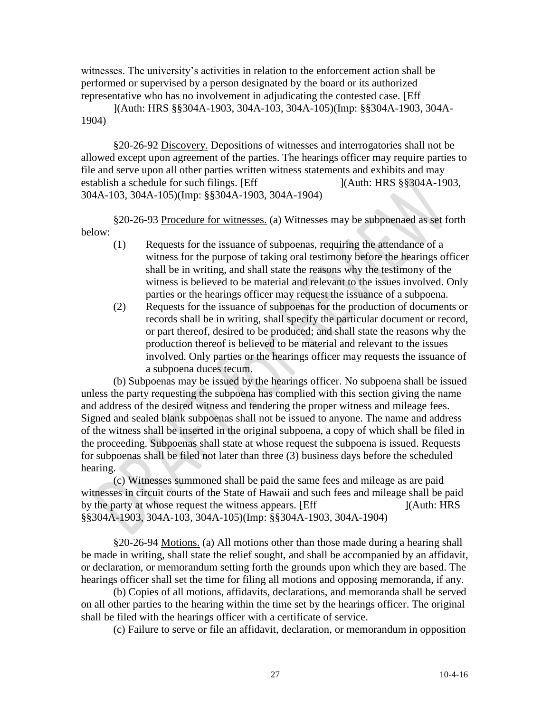witnesses. The university's activities in relation to the enforcement action shall be performed or supervised by a person designated by the board or its authorized representative who has no involvement in adjudicating the contested case. [Eff

](Auth: HRS §§304A-1903, 304A-103, 304A-105)(Imp: §§304A-1903, 304A-1904)

§20-26-92 Discovery. Depositions of witnesses and interrogatories shall not be allowed except upon agreement of the parties. The hearings officer may require parties to file and serve upon all other parties written witness statements and exhibits and may establish a schedule for such filings. [Eff ](Auth: HRS §§304A-1903, 304A-103, 304A-105)(Imp: §§304A-1903, 304A-1904)

§20-26-93 Procedure for witnesses. (a) Witnesses may be subpoenaed as set forth below:

- (1) Requests for the issuance of subpoenas, requiring the attendance of a witness for the purpose of taking oral testimony before the hearings officer shall be in writing, and shall state the reasons why the testimony of the witness is believed to be material and relevant to the issues involved. Only parties or the hearings officer may request the issuance of a subpoena.
- (2) Requests for the issuance of subpoenas for the production of documents or records shall be in writing, shall specify the particular document or record, or part thereof, desired to be produced; and shall state the reasons why the production thereof is believed to be material and relevant to the issues involved. Only parties or the hearings officer may requests the issuance of a subpoena duces tecum.

(b) Subpoenas may be issued by the hearings officer. No subpoena shall be issued unless the party requesting the subpoena has complied with this section giving the name and address of the desired witness and tendering the proper witness and mileage fees. Signed and sealed blank subpoenas shall not be issued to anyone. The name and address of the witness shall be inserted in the original subpoena, a copy of which shall be filed in the proceeding. Subpoenas shall state at whose request the subpoena is issued. Requests for subpoenas shall be filed not later than three (3) business days before the scheduled hearing.

(c) Witnesses summoned shall be paid the same fees and mileage as are paid witnesses in circuit courts of the State of Hawaii and such fees and mileage shall be paid by the party at whose request the witness appears. [Eff [164] [(Auth: HRS] §§304A-1903, 304A-103, 304A-105)(Imp: §§304A-1903, 304A-1904)

§20-26-94 Motions. (a) All motions other than those made during a hearing shall be made in writing, shall state the relief sought, and shall be accompanied by an affidavit, or declaration, or memorandum setting forth the grounds upon which they are based. The hearings officer shall set the time for filing all motions and opposing memoranda, if any.

(b) Copies of all motions, affidavits, declarations, and memoranda shall be served on all other parties to the hearing within the time set by the hearings officer. The original shall be filed with the hearings officer with a certificate of service.

(c) Failure to serve or file an affidavit, declaration, or memorandum in opposition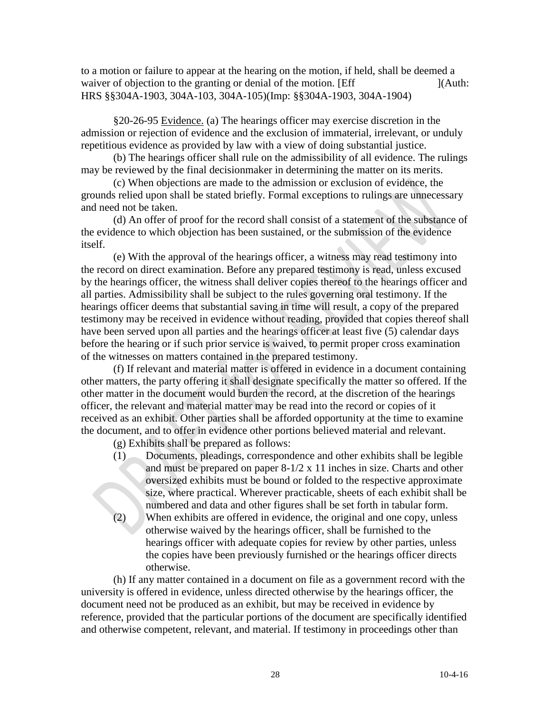to a motion or failure to appear at the hearing on the motion, if held, shall be deemed a waiver of objection to the granting or denial of the motion. [Eff ](Auth: HRS §§304A-1903, 304A-103, 304A-105)(Imp: §§304A-1903, 304A-1904)

§20-26-95 Evidence. (a) The hearings officer may exercise discretion in the admission or rejection of evidence and the exclusion of immaterial, irrelevant, or unduly repetitious evidence as provided by law with a view of doing substantial justice.

(b) The hearings officer shall rule on the admissibility of all evidence. The rulings may be reviewed by the final decisionmaker in determining the matter on its merits.

(c) When objections are made to the admission or exclusion of evidence, the grounds relied upon shall be stated briefly. Formal exceptions to rulings are unnecessary and need not be taken.

(d) An offer of proof for the record shall consist of a statement of the substance of the evidence to which objection has been sustained, or the submission of the evidence itself.

(e) With the approval of the hearings officer, a witness may read testimony into the record on direct examination. Before any prepared testimony is read, unless excused by the hearings officer, the witness shall deliver copies thereof to the hearings officer and all parties. Admissibility shall be subject to the rules governing oral testimony. If the hearings officer deems that substantial saving in time will result, a copy of the prepared testimony may be received in evidence without reading, provided that copies thereof shall have been served upon all parties and the hearings officer at least five (5) calendar days before the hearing or if such prior service is waived, to permit proper cross examination of the witnesses on matters contained in the prepared testimony.

(f) If relevant and material matter is offered in evidence in a document containing other matters, the party offering it shall designate specifically the matter so offered. If the other matter in the document would burden the record, at the discretion of the hearings officer, the relevant and material matter may be read into the record or copies of it received as an exhibit. Other parties shall be afforded opportunity at the time to examine the document, and to offer in evidence other portions believed material and relevant.

(g) Exhibits shall be prepared as follows:

otherwise.

(1) Documents, pleadings, correspondence and other exhibits shall be legible and must be prepared on paper 8-1/2 x 11 inches in size. Charts and other oversized exhibits must be bound or folded to the respective approximate size, where practical. Wherever practicable, sheets of each exhibit shall be numbered and data and other figures shall be set forth in tabular form. (2) When exhibits are offered in evidence, the original and one copy, unless otherwise waived by the hearings officer, shall be furnished to the hearings officer with adequate copies for review by other parties, unless

the copies have been previously furnished or the hearings officer directs

(h) If any matter contained in a document on file as a government record with the university is offered in evidence, unless directed otherwise by the hearings officer, the document need not be produced as an exhibit, but may be received in evidence by reference, provided that the particular portions of the document are specifically identified and otherwise competent, relevant, and material. If testimony in proceedings other than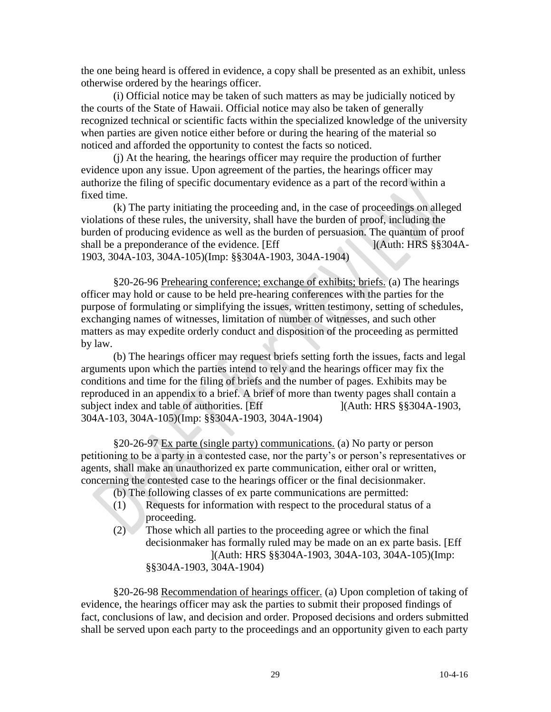the one being heard is offered in evidence, a copy shall be presented as an exhibit, unless otherwise ordered by the hearings officer.

(i) Official notice may be taken of such matters as may be judicially noticed by the courts of the State of Hawaii. Official notice may also be taken of generally recognized technical or scientific facts within the specialized knowledge of the university when parties are given notice either before or during the hearing of the material so noticed and afforded the opportunity to contest the facts so noticed.

(j) At the hearing, the hearings officer may require the production of further evidence upon any issue. Upon agreement of the parties, the hearings officer may authorize the filing of specific documentary evidence as a part of the record within a fixed time.

(k) The party initiating the proceeding and, in the case of proceedings on alleged violations of these rules, the university, shall have the burden of proof, including the burden of producing evidence as well as the burden of persuasion. The quantum of proof shall be a preponderance of the evidence. [Eff ](Auth: HRS §§304A-1903, 304A-103, 304A-105)(Imp: §§304A-1903, 304A-1904)

§20-26-96 Prehearing conference; exchange of exhibits; briefs. (a) The hearings officer may hold or cause to be held pre-hearing conferences with the parties for the purpose of formulating or simplifying the issues, written testimony, setting of schedules, exchanging names of witnesses, limitation of number of witnesses, and such other matters as may expedite orderly conduct and disposition of the proceeding as permitted by law.

(b) The hearings officer may request briefs setting forth the issues, facts and legal arguments upon which the parties intend to rely and the hearings officer may fix the conditions and time for the filing of briefs and the number of pages. Exhibits may be reproduced in an appendix to a brief. A brief of more than twenty pages shall contain a subject index and table of authorities. [Eff ](Auth: HRS §§304A-1903, 304A-103, 304A-105)(Imp: §§304A-1903, 304A-1904)

§20-26-97 Ex parte (single party) communications. (a) No party or person petitioning to be a party in a contested case, nor the party's or person's representatives or agents, shall make an unauthorized ex parte communication, either oral or written, concerning the contested case to the hearings officer or the final decisionmaker.

(b) The following classes of ex parte communications are permitted:

- (1) Requests for information with respect to the procedural status of a proceeding.
- (2) Those which all parties to the proceeding agree or which the final decisionmaker has formally ruled may be made on an ex parte basis. [Eff ](Auth: HRS §§304A-1903, 304A-103, 304A-105)(Imp: §§304A-1903, 304A-1904)

§20-26-98 Recommendation of hearings officer. (a) Upon completion of taking of evidence, the hearings officer may ask the parties to submit their proposed findings of fact, conclusions of law, and decision and order. Proposed decisions and orders submitted shall be served upon each party to the proceedings and an opportunity given to each party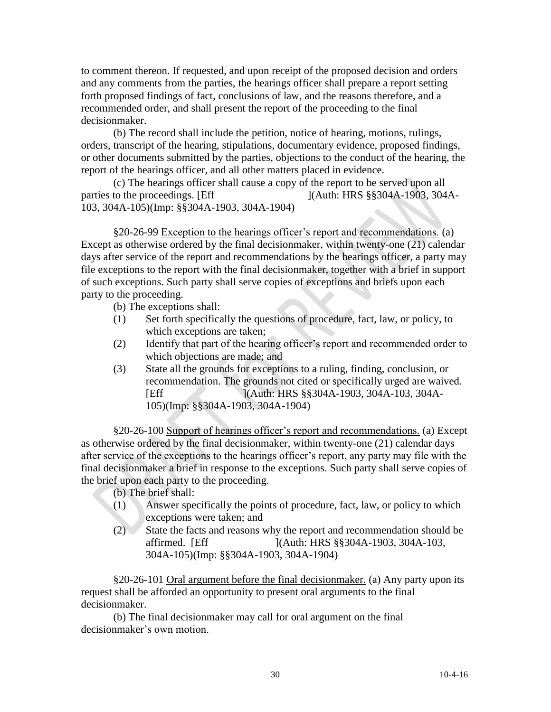to comment thereon. If requested, and upon receipt of the proposed decision and orders and any comments from the parties, the hearings officer shall prepare a report setting forth proposed findings of fact, conclusions of law, and the reasons therefore, and a recommended order, and shall present the report of the proceeding to the final decisionmaker.

(b) The record shall include the petition, notice of hearing, motions, rulings, orders, transcript of the hearing, stipulations, documentary evidence, proposed findings, or other documents submitted by the parties, objections to the conduct of the hearing, the report of the hearings officer, and all other matters placed in evidence.

(c) The hearings officer shall cause a copy of the report to be served upon all parties to the proceedings. [Eff ](Auth: HRS §§304A-1903, 304A-103, 304A-105)(Imp: §§304A-1903, 304A-1904)

§20-26-99 Exception to the hearings officer's report and recommendations. (a) Except as otherwise ordered by the final decisionmaker, within twenty-one (21) calendar days after service of the report and recommendations by the hearings officer, a party may file exceptions to the report with the final decisionmaker, together with a brief in support of such exceptions. Such party shall serve copies of exceptions and briefs upon each party to the proceeding.

- (b) The exceptions shall:
- (1) Set forth specifically the questions of procedure, fact, law, or policy, to which exceptions are taken;
- (2) Identify that part of the hearing officer's report and recommended order to which objections are made; and
- (3) State all the grounds for exceptions to a ruling, finding, conclusion, or recommendation. The grounds not cited or specifically urged are waived. [Eff ](Auth: HRS §§304A-1903, 304A-103, 304A-105)(Imp: §§304A-1903, 304A-1904)

§20-26-100 Support of hearings officer's report and recommendations. (a) Except as otherwise ordered by the final decisionmaker, within twenty-one (21) calendar days after service of the exceptions to the hearings officer's report, any party may file with the final decisionmaker a brief in response to the exceptions. Such party shall serve copies of the brief upon each party to the proceeding.

- (b) The brief shall:
- (1) Answer specifically the points of procedure, fact, law, or policy to which exceptions were taken; and
- (2) State the facts and reasons why the report and recommendation should be affirmed. [Eff ](Auth: HRS §§304A-1903, 304A-103, 304A-105)(Imp: §§304A-1903, 304A-1904)

§20-26-101 Oral argument before the final decisionmaker. (a) Any party upon its request shall be afforded an opportunity to present oral arguments to the final decisionmaker.

(b) The final decisionmaker may call for oral argument on the final decisionmaker's own motion.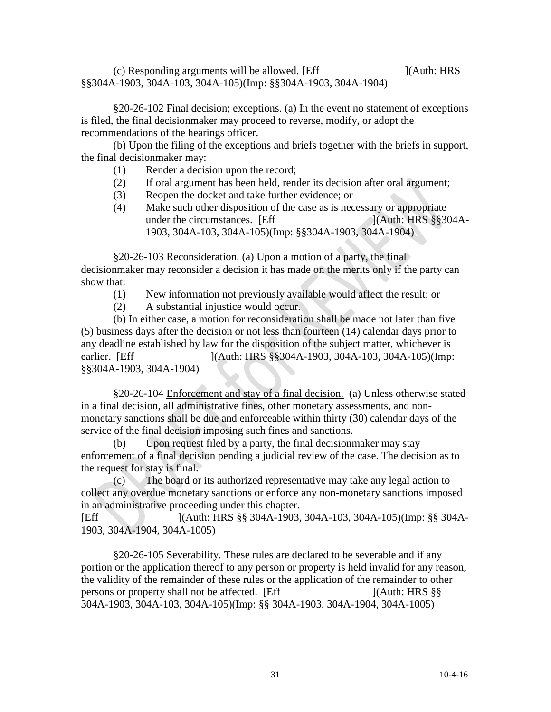$\alpha$ ) Responding arguments will be allowed. [Eff  $\alpha$ ](Auth: HRS §§304A-1903, 304A-103, 304A-105)(Imp: §§304A-1903, 304A-1904)

§20-26-102 Final decision; exceptions. (a) In the event no statement of exceptions is filed, the final decisionmaker may proceed to reverse, modify, or adopt the recommendations of the hearings officer.

(b) Upon the filing of the exceptions and briefs together with the briefs in support, the final decisionmaker may:

- (1) Render a decision upon the record;
- (2) If oral argument has been held, render its decision after oral argument;
- (3) Reopen the docket and take further evidence; or
- (4) Make such other disposition of the case as is necessary or appropriate under the circumstances. [Eff ](Auth: HRS §§304A-1903, 304A-103, 304A-105)(Imp: §§304A-1903, 304A-1904)

§20-26-103 Reconsideration. (a) Upon a motion of a party, the final decisionmaker may reconsider a decision it has made on the merits only if the party can show that:

- (1) New information not previously available would affect the result; or
- (2) A substantial injustice would occur.

(b) In either case, a motion for reconsideration shall be made not later than five (5) business days after the decision or not less than fourteen (14) calendar days prior to any deadline established by law for the disposition of the subject matter, whichever is earlier. [Eff ](Auth: HRS §§304A-1903, 304A-103, 304A-105)(Imp: §§304A-1903, 304A-1904)

§20-26-104 Enforcement and stay of a final decision. (a) Unless otherwise stated in a final decision, all administrative fines, other monetary assessments, and nonmonetary sanctions shall be due and enforceable within thirty (30) calendar days of the service of the final decision imposing such fines and sanctions.

(b) Upon request filed by a party, the final decisionmaker may stay enforcement of a final decision pending a judicial review of the case. The decision as to the request for stay is final.

(c) The board or its authorized representative may take any legal action to collect any overdue monetary sanctions or enforce any non-monetary sanctions imposed in an administrative proceeding under this chapter.

[Eff ](Auth: HRS §§ 304A-1903, 304A-103, 304A-105)(Imp: §§ 304A-1903, 304A-1904, 304A-1005)

§20-26-105 Severability. These rules are declared to be severable and if any portion or the application thereof to any person or property is held invalid for any reason, the validity of the remainder of these rules or the application of the remainder to other persons or property shall not be affected. [Eff ](Auth: HRS §§ 304A-1903, 304A-103, 304A-105)(Imp: §§ 304A-1903, 304A-1904, 304A-1005)